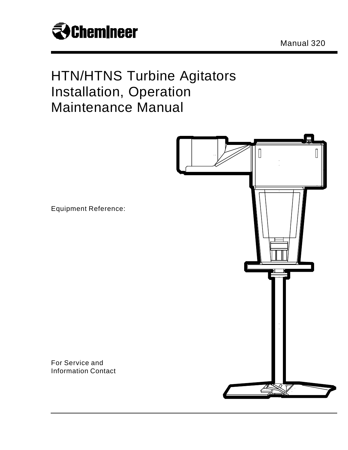

Manual 320

# HTN/HTNS Turbine Agitators Installation, Operation Maintenance Manual



Equipment Reference:

For Service and Information Contact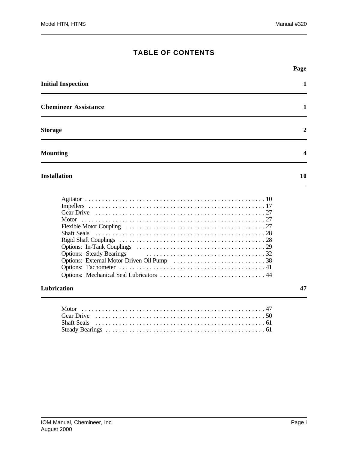|                             | Page           |
|-----------------------------|----------------|
| <b>Initial Inspection</b>   | 1              |
| <b>Chemineer Assistance</b> | 1              |
| <b>Storage</b>              | $\overline{2}$ |
| <b>Mounting</b>             | 4              |

### **Installation 10**

### **Lubrication 47**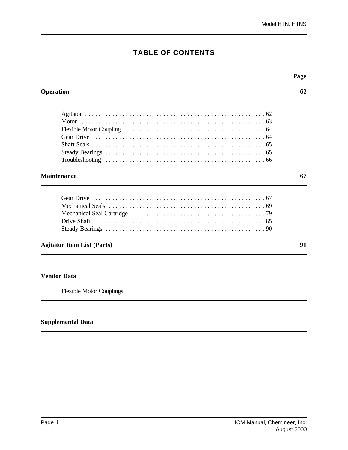|                                   | Page |
|-----------------------------------|------|
| <b>Operation</b>                  | 62   |
|                                   |      |
|                                   |      |
|                                   |      |
|                                   |      |
| Shaft Seals                       |      |
|                                   |      |
|                                   |      |
| <b>Maintenance</b>                | 67   |
| <b>Gear Drive</b>                 |      |
|                                   |      |
| Mechanical Seal Cartridge         |      |
|                                   |      |
|                                   |      |
| <b>Agitator Item List (Parts)</b> | 91   |

### **Vendor Data**

Flexible Motor Couplings

### **Supplemental Data**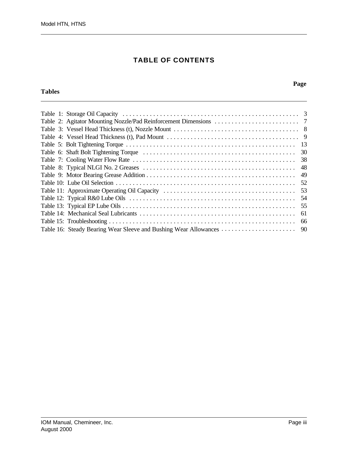### **Tables**

#### **Page**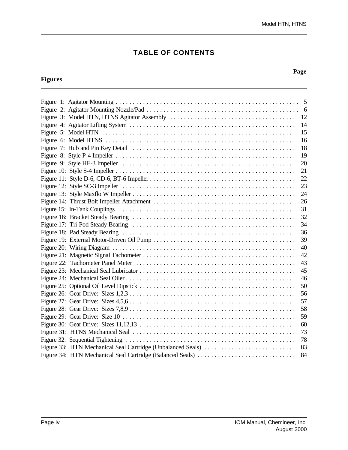### **Figures**

### **Page**

|                                                             | 14 |
|-------------------------------------------------------------|----|
|                                                             | 15 |
|                                                             | 16 |
|                                                             | 18 |
|                                                             | 19 |
|                                                             | 20 |
|                                                             | 21 |
|                                                             | 22 |
|                                                             | 23 |
|                                                             | 24 |
|                                                             | 26 |
|                                                             | 31 |
|                                                             | 32 |
|                                                             | 34 |
|                                                             | 36 |
|                                                             | 39 |
|                                                             | 40 |
|                                                             | 42 |
|                                                             | 43 |
|                                                             | 45 |
|                                                             | 46 |
|                                                             | 50 |
|                                                             | 56 |
|                                                             | 57 |
|                                                             | 58 |
|                                                             | 59 |
|                                                             | 60 |
|                                                             | 73 |
|                                                             | 78 |
| Figure 33: HTN Mechanical Seal Cartridge (Unbalanced Seals) | 83 |
| Figure 34: HTN Mechanical Seal Cartridge (Balanced Seals)   | 84 |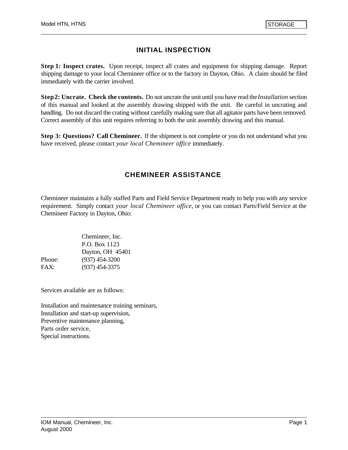# **INITIAL INSPECTION**

**Step 1: Inspect crates.** Upon receipt, inspect all crates and equipment for shipping damage. Report shipping damage to your local Chemineer office or to the factory in Dayton, Ohio. A claim should be filed immediately with the carrier involved.

**Step 2: Uncrate. Check the contents.** Do not uncrate the unit until you have read the *Installation* section of this manual and looked at the assembly drawing shipped with the unit. Be careful in uncrating and handling. Do not discard the crating without carefully making sure that all agitator parts have been removed. Correct assembly of this unit requires referring to both the unit assembly drawing and this manual.

**Step 3: Questions? Call Chemineer.** If the shipment is not complete or you do not understand what you have received, please contact *your local Chemineer office* immediately.

# **CHEMINEER ASSISTANCE**

Chemineer maintains a fully staffed Parts and Field Service Department ready to help you with any service requirement. Simply contact *your local Chemineer office*, or you can contact Parts/Field Service at the Chemineer Factory in Dayton, Ohio:

|        | Chemineer, Inc.  |
|--------|------------------|
|        | P.O. Box 1123    |
|        | Dayton, OH 45401 |
| Phone: | $(937)$ 454-3200 |
| FAX:   | $(937)$ 454-3375 |

Services available are as follows:

Installation and maintenance training seminars, Installation and start-up supervision, Preventive maintenance planning, Parts order service, Special instructions.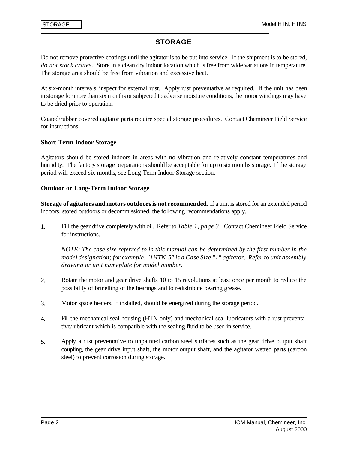I

### **STORAGE**

Do not remove protective coatings until the agitator is to be put into service. If the shipment is to be stored, *do not stack crates*. Store in a clean dry indoor location which is free from wide variations in temperature. The storage area should be free from vibration and excessive heat.

At six-month intervals, inspect for external rust. Apply rust preventative as required. If the unit has been in storage for more than six months or subjected to adverse moisture conditions, the motor windings may have to be dried prior to operation.

Coated/rubber covered agitator parts require special storage procedures. Contact Chemineer Field Service for instructions.

#### **Short-Term Indoor Storage**

Agitators should be stored indoors in areas with no vibration and relatively constant temperatures and humidity. The factory storage preparations should be acceptable for up to six months storage. If the storage period will exceed six months, see Long-Term Indoor Storage section.

#### **Outdoor or Long-Term Indoor Storage**

**Storage of agitators and motors outdoors is not recommended.** If a unit is stored for an extended period indoors, stored outdoors or decommissioned, the following recommendations apply.

1. Fill the gear drive completely with oil. Refer to *Table 1, page 3*. Contact Chemineer Field Service for instructions.

*NOTE: The case size referred to in this manual can be determined by the first number in the model designation; for example, "1HTN-5" is a Case Size "1" agitator. Refer to unit assembly drawing or unit nameplate for model number.* 

- 2. Rotate the motor and gear drive shafts 10 to 15 revolutions at least once per month to reduce the possibility of brinelling of the bearings and to redistribute bearing grease.
- 3. Motor space heaters, if installed, should be energized during the storage period.
- 4. Fill the mechanical seal housing (HTN only) and mechanical seal lubricators with a rust preventative/lubricant which is compatible with the sealing fluid to be used in service.
- 5. Apply a rust preventative to unpainted carbon steel surfaces such as the gear drive output shaft coupling, the gear drive input shaft, the motor output shaft, and the agitator wetted parts (carbon steel) to prevent corrosion during storage.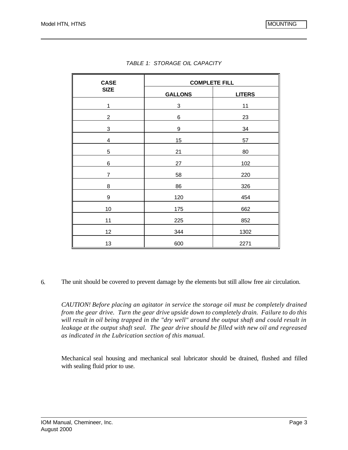| <b>CASE</b>    | <b>COMPLETE FILL</b> |               |  |  |
|----------------|----------------------|---------------|--|--|
| <b>SIZE</b>    | <b>GALLONS</b>       | <b>LITERS</b> |  |  |
| 1              | 3                    | 11            |  |  |
| $\overline{2}$ | 6                    | 23            |  |  |
| 3              | 9                    | 34            |  |  |
| 4              | 15                   | 57            |  |  |
| 5              | 21                   | 80            |  |  |
| 6              | 27                   | 102           |  |  |
| 7              | 58                   | 220           |  |  |
| 8              | 86                   | 326           |  |  |
| 9              | 120                  | 454           |  |  |
| 10             | 175                  | 662           |  |  |
| 11             | 225                  | 852           |  |  |
| 12             | 344                  | 1302          |  |  |
| 13             | 600                  | 2271          |  |  |

|  | TABLE 1: STORAGE OIL CAPACITY |  |
|--|-------------------------------|--|
|--|-------------------------------|--|

6. The unit should be covered to prevent damage by the elements but still allow free air circulation.

*CAUTION! Before placing an agitator in service the storage oil must be completely drained from the gear drive. Turn the gear drive upside down to completely drain. Failure to do this will result in oil being trapped in the "dry well" around the output shaft and could result in leakage at the output shaft seal. The gear drive should be filled with new oil and regreased as indicated in the Lubrication section of this manual.*

Mechanical seal housing and mechanical seal lubricator should be drained, flushed and filled with sealing fluid prior to use.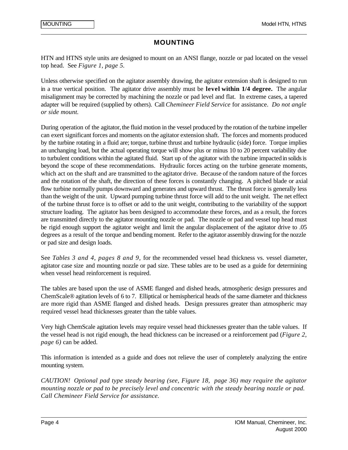#### **MOUNTING**

HTN and HTNS style units are designed to mount on an ANSI flange, nozzle or pad located on the vessel top head. See *Figure 1, page 5.*

Unless otherwise specified on the agitator assembly drawing, the agitator extension shaft is designed to run in a true vertical position. The agitator drive assembly must be **level within 1/4 degree.** The angular misalignment may be corrected by machining the nozzle or pad level and flat. In extreme cases, a tapered adapter will be required (supplied by others). Call *Chemineer Field Service* for assistance. *Do not angle or side mount.*

During operation of the agitator, the fluid motion in the vessel produced by the rotation of the turbine impeller can exert significant forces and moments on the agitator extension shaft. The forces and moments produced by the turbine rotating in a fluid are; torque, turbine thrust and turbine hydraulic (side) force. Torque implies an unchanging load, but the actual operating torque will show plus or minus 10 to 20 percent variability due to turbulent conditions within the agitated fluid. Start up of the agitator with the turbine impacted in solids is beyond the scope of these recommendations. Hydraulic forces acting on the turbine generate moments, which act on the shaft and are transmitted to the agitator drive. Because of the random nature of the forces and the rotation of the shaft, the direction of these forces is constantly changing. A pitched blade or axial flow turbine normally pumps downward and generates and upward thrust. The thrust force is generally less than the weight of the unit. Upward pumping turbine thrust force will add to the unit weight. The net effect of the turbine thrust force is to offset or add to the unit weight, contributing to the variability of the support structure loading. The agitator has been designed to accommodate these forces, and as a result, the forces are transmitted directly to the agitator mounting nozzle or pad. The nozzle or pad and vessel top head must be rigid enough support the agitator weight and limit the angular displacement of the agitator drive to .05 degrees as a result of the torque and bending moment. Refer to the agitator assembly drawing for the nozzle or pad size and design loads.

See *Tables 3 and 4, pages 8 and 9,* for the recommended vessel head thickness vs. vessel diameter, agitator case size and mounting nozzle or pad size. These tables are to be used as a guide for determining when vessel head reinforcement is required.

The tables are based upon the use of ASME flanged and dished heads, atmospheric design pressures and ChemScale® agitation levels of 6 to 7. Elliptical or hemispherical heads of the same diameter and thickness are more rigid than ASME flanged and dished heads. Design pressures greater than atmospheric may required vessel head thicknesses greater than the table values.

Very high ChemScale agitation levels may require vessel head thicknesses greater than the table values. If the vessel head is not rigid enough, the head thickness can be increased or a reinforcement pad (*Figure 2, page 6)* can be added.

This information is intended as a guide and does not relieve the user of completely analyzing the entire mounting system.

*CAUTION! Optional pad type steady bearing (see, Figure 18, page 36) may require the agitator mounting nozzle or pad to be precisely level and concentric with the steady bearing nozzle or pad. Call Chemineer Field Service for assistance.*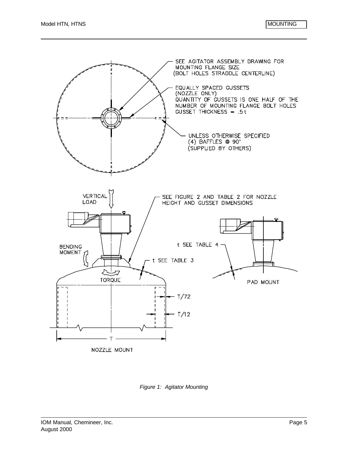

*Figure 1: Agitator Mounting*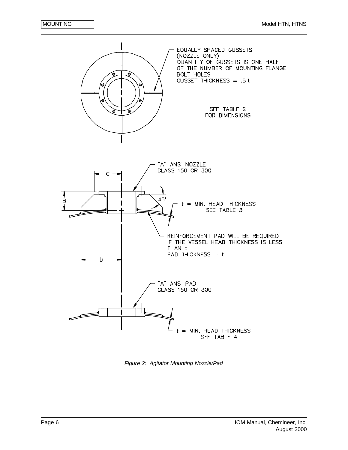

*Figure 2: Agitator Mounting Nozzle/Pad*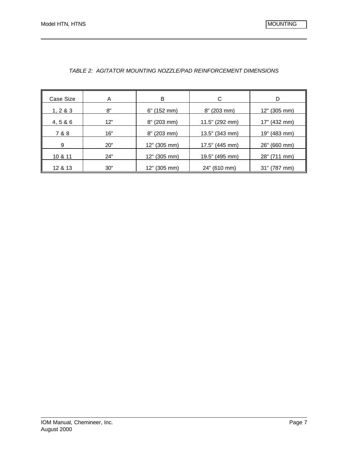| Case Size | A   | в                           | C                           | D            |
|-----------|-----|-----------------------------|-----------------------------|--------------|
| 1, 2 & 3  | 8"  | 6"<br>$(152 \text{ mm})$    | $8''$ (203 mm)              | 12" (305 mm) |
| 4, 5 & 6  | 12" | $(203 \, \text{mm})$<br>8"  | 11.5" (292 mm)              | 17" (432 mm) |
| 7 & 8     | 16" | 8"<br>$(203 \text{ mm})$    | 13.5" (343 mm)              | 19" (483 mm) |
| 9         | 20" | 12" (305 mm)                | 17.5" (445 mm)              | 26" (660 mm) |
| 10 & 11   | 24" | $(305 \, \text{mm})$<br>12" | 19.5" (495 mm)              | 28" (711 mm) |
| 12 & 13   | 30" | $(305 \, \text{mm})$<br>12" | $(610 \, \text{mm})$<br>24" | 31" (787 mm) |

#### *TABLE 2: AGITATOR MOUNTING NOZZLE/PAD REINFORCEMENT DIMENSIONS*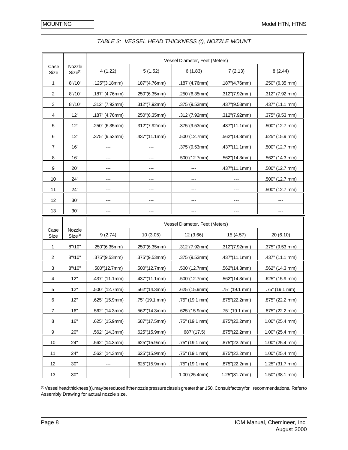|                         |                               |                                |                |                | Vessel Diameter, Feet (Meters) |                    |  |  |  |
|-------------------------|-------------------------------|--------------------------------|----------------|----------------|--------------------------------|--------------------|--|--|--|
| Case<br>Size            | Nozzle<br>Size <sup>(1)</sup> | 4(1.22)                        | 5(1.52)        | 6(1.83)        | 7(2.13)                        | 8(2.44)            |  |  |  |
| 1                       | 8''/10''                      | .125"(3.18mm)                  | .187"(4.76mm)  | .187"(4.76mm)  | .187"(4.76mm)                  | .250" (6.35 mm)    |  |  |  |
| $\overline{\mathbf{c}}$ | 8''/10''                      | $.187$ " (4.76mm)              | .250"(6.35mm)  | .250"(6.35mm)  | .312"(7.92mm)                  | .312" (7.92 mm)    |  |  |  |
| 3                       | 8''/10''                      | .312" (7.92mm)                 | .312"(7.92mm)  | .375"(9.53mm)  | .437"(9.53mm)                  | .437" (11.1 mm)    |  |  |  |
| 4                       | 12"                           | .187" (4.76mm)                 | .250"(6.35mm)  | .312"(7.92mm)  | .312"(7.92mm)                  | .375" (9.53 mm)    |  |  |  |
| 5                       | 12"                           | .250" (6.35mm)                 | .312"(7.92mm)  | .375"(9.53mm)  | .437"(11.1mm)                  | .500" (12.7 mm)    |  |  |  |
| 6                       | 12"                           | .375" (9.53mm)                 | .437"(11.1mm)  | .500"(12.7mm)  | .562"(14.3mm)                  | .625" (15.9 mm)    |  |  |  |
| 7                       | 16"                           |                                |                | .375"(9.53mm)  | .437"(11.1mm)                  | .500" (12.7 mm)    |  |  |  |
| 8                       | 16"                           |                                |                | .500"(12.7mm)  | .562"(14.3mm)                  | .562" (14.3 mm)    |  |  |  |
| 9                       | 20"                           | $---$                          | $---$          |                | .437"(11.1mm)                  | .500" (12.7 mm)    |  |  |  |
| 10                      | 24"                           | $---$                          | $---$          | $---$          | $---$                          | .500" (12.7 mm)    |  |  |  |
| 11                      | 24"                           |                                |                |                | ---                            | .500" (12.7 mm)    |  |  |  |
| 12                      | 30"                           | ---                            |                |                |                                |                    |  |  |  |
| 13                      | 30"                           |                                |                |                |                                |                    |  |  |  |
|                         |                               | Vessel Diameter, Feet (Meters) |                |                |                                |                    |  |  |  |
|                         |                               |                                |                |                |                                |                    |  |  |  |
| Case<br>Size            | Nozzle<br>Size <sup>(1)</sup> | 9(2.74)                        | 10(3.05)       | 12 (3.66)      | 15 (4.57)                      | 20 (6.10)          |  |  |  |
| 1                       | 8''/10''                      | .250"(6.35mm)                  | .250"(6.35mm)  | .312''(7.92mm) | .312"(7.92mm)                  | .375" (9.53 mm)    |  |  |  |
| $\overline{\mathbf{c}}$ | 8''/10''                      | .375"(9.53mm)                  | .375"(9.53mm)  | .375"(9.53mm)  | .437"(11.1mm)                  | .437" (11.1 mm)    |  |  |  |
| 3                       | 8''/10''                      | .500"(12.7mm)                  | .500"(12.7mm)  | .500"(12.7mm)  | .562"(14.3mm)                  | .562" (14.3 mm)    |  |  |  |
| 4                       | 12"                           | .437" (11.1mm)                 | .437"(11.1mm)  | .500"(12.7mm)  | .562"(14.3mm)                  | .625" (15.9 mm)    |  |  |  |
| 5                       | 12"                           | .500" (12.7mm)                 | .562"(14.3mm)  | .625"(15.9mm)  | .75" (19.1 mm)                 | .75" (19.1 mm)     |  |  |  |
| 6                       | 12"                           | .625" (15.9mm)                 | .75" (19.1 mm) | .75" (19.1 mm) | .875"(22.2mm)                  | .875" (22.2 mm)    |  |  |  |
| $\boldsymbol{7}$        | 16"                           | .562" (14.3mm)                 | .562"(14.3mm)  | .625"(15.9mm)  | .75" (19.1 mm)                 | .875" (22.2 mm)    |  |  |  |
| 8                       | 16"                           | .625" (15.9mm)                 | .687"(17.5mm)  | .75" (19.1 mm) | .875"(22.2mm)                  | 1.00" (25.4 mm)    |  |  |  |
| 9                       | 20"                           | .562" (14.3mm)                 | .625"(15.9mm)  | .687''(17.5)   | .875"(22.2mm)                  | 1.00" (25.4 mm)    |  |  |  |
| 10                      | 24"                           | .562" (14.3mm)                 | .625"(15.9mm)  | .75" (19.1 mm) | .875"(22.2mm)                  | $1.00$ " (25.4 mm) |  |  |  |
| 11                      | 24"                           | .562" (14.3mm)                 | .625"(15.9mm)  | .75" (19.1 mm) | .875"(22.2mm)                  | 1.00" (25.4 mm)    |  |  |  |
| 12                      | 30"                           |                                | .625"(15.9mm)  | .75" (19.1 mm) | .875"(22.2mm)                  | 1.25" (31.7 mm)    |  |  |  |

#### *TABLE 3: VESSEL HEAD THICKNESS (t), NOZZLE MOUNT*

(1) Vessel head thickness (t), may be reduced if the nozzle pressure class is greater than 150. Consult factory for recommendations. Refer to Assembly Drawing for actual nozzle size.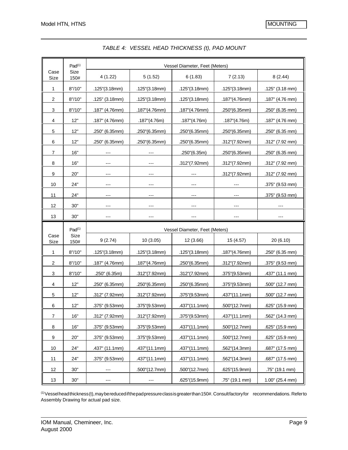|                | Pad <sup>(1)</sup> |                                |                       |                       | Vessel Diameter, Feet (Meters) |                 |  |  |  |
|----------------|--------------------|--------------------------------|-----------------------|-----------------------|--------------------------------|-----------------|--|--|--|
| Case<br>Size   | Size<br>150#       | 4(1.22)                        | 5(1.52)               | 6(1.83)               | 7(2.13)                        | 8(2.44)         |  |  |  |
| 1              | 8''/10''           | .125''(3.18mm)                 | .125"(3.18mm)         | .125''(3.18mm)        | .125''(3.18mm)                 | .125" (3.18 mm) |  |  |  |
| $\overline{c}$ | 8''/10''           | .125" (3.18mm)                 | .125"(3.18mm)         | .125"(3.18mm)         | .187"(4.76mm)                  | .187" (4.76 mm) |  |  |  |
| 3              | 8''/10''           | .187" (4.76mm)                 | .187"(4.76mm)         | .187"(4.76mm)         | .250"(6.35mm)                  | .250" (6.35 mm) |  |  |  |
| 4              | 12"                | .187" (4.76mm)                 | $.187^{\circ}(4.76m)$ | $.187^{\circ}(4.76m)$ | .187''(4.76m)                  | .187" (4.76 mm) |  |  |  |
| $\,$ 5 $\,$    | 12"                | .250" (6.35mm)                 | .250"(6.35mm)         | .250"(6.35mm)         | .250"(6.35mm)                  | .250" (6.35 mm) |  |  |  |
| 6              | 12"                | .250" (6.35mm)                 | .250"(6.35mm)         | .250"(6.35mm)         | .312"(7.92mm)                  | .312" (7.92 mm) |  |  |  |
| $\overline{7}$ | 16"                |                                |                       | .250"(6.35m)          | .250"(6.35mm)                  | .250" (6.35 mm) |  |  |  |
| 8              | 16"                |                                |                       | .312''(7.92mm)        | .312"(7.92mm)                  | .312" (7.92 mm) |  |  |  |
| 9              | 20"                | ---                            | ---                   |                       | .312"(7.92mm)                  | .312" (7.92 mm) |  |  |  |
| 10             | 24"                |                                | ---                   | ---                   | ---                            | .375" (9.53 mm) |  |  |  |
| 11             | 24"                | ---                            |                       |                       |                                | .375" (9.53 mm) |  |  |  |
| 12             | 30"                | ---                            |                       | ---                   | ---                            | $---$           |  |  |  |
| 13             | 30"                | ---                            |                       |                       | $---$                          | ---             |  |  |  |
|                |                    | Vessel Diameter, Feet (Meters) |                       |                       |                                |                 |  |  |  |
|                | Pad <sup>(1)</sup> |                                |                       |                       |                                |                 |  |  |  |
| Case<br>Size   | Size<br>150#       | 9(2.74)                        | 10(3.05)              | 12 (3.66)             | 15 (4.57)                      | 20 (6.10)       |  |  |  |
| 1              | 8''/10''           | .125"(3.18mm)                  | .125''(3.18mm)        | .125''(3.18mm)        | .187"(4.76mm)                  | .250" (6.35 mm) |  |  |  |
| $\overline{c}$ | 8''/10''           | .187" (4.76mm)                 | .187"(4.76mm)         | .250"(6.35mm)         | .312"(7.92mm)                  | .375" (9.53 mm) |  |  |  |
| 3              | 8''/10''           | .250" (6.35m)                  | .312"(7.92mm)         | .312"(7.92mm)         | .375"(9.53mm)                  | .437" (11.1 mm) |  |  |  |
| 4              | 12"                | .250" (6.35mm)                 | .250"(6.35mm)         | .250"(6.35mm)         | .375"(9.53mm)                  | .500" (12.7 mm) |  |  |  |
| 5              | 12"                | .312" (7.92mm)                 | .312"(7.92mm)         | .375"(9.53mm)         | .437"(11.1mm)                  | .500" (12.7 mm) |  |  |  |
| 6              | 12"                | .375" (9.53mm)                 | .375"(9.53mm)         | .437"(11.1mm)         | .500"(12.7mm)                  | .625" (15.9 mm) |  |  |  |
| $\overline{7}$ | $16"$              | .312" (7.92mm)                 | .312"(7.92mm)         | .375"(9.53mm)         | .437"(11.1mm)                  | .562" (14.3 mm) |  |  |  |
| 8              | 16"                | .375" (9.53mm)                 | .375"(9.53mm)         | .437''(11.1mm)        | .500"(12.7mm)                  | .625" (15.9 mm) |  |  |  |
| 9              | 20"                | .375" (9.53mm)                 | .375"(9.53mm)         | .437"(11.1mm)         | .500"(12.7mm)                  | .625" (15.9 mm) |  |  |  |
| 10             | 24"                | .437" (11.1mm)                 | .437"(11.1mm)         | .437"(11.1mm)         | .562"(14.3mm)                  | .687" (17.5 mm) |  |  |  |
| 11             | 24"                | .375" (9.53mm)                 | .437"(11.1mm)         | .437"(11.1mm)         | .562"(14.3mm)                  | .687" (17.5 mm) |  |  |  |
| 12             | 30"                |                                | .500"(12.7mm)         | .500"(12.7mm)         | .625"(15.9mm)                  | .75" (19.1 mm)  |  |  |  |

*TABLE 4: VESSEL HEAD THICKNESS (t), PAD MOUNT*

(1) Vessel head thickness (t), may be reduced if the pad pressure class is greater than 150#. Consult factory for recommendations. Refer to Assembly Drawing for actual pad size.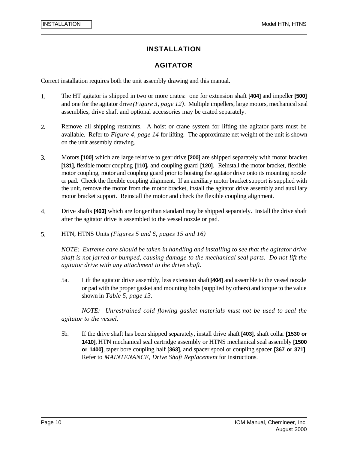### **INSTALLATION**

### **AGITATOR**

Correct installation requires both the unit assembly drawing and this manual.

- 1. The HT agitator is shipped in two or more crates: one for extension shaft **[404]** and impeller **[500]** and one for the agitator drive *(Figure 3, page 12)*. Multiple impellers, large motors, mechanical seal assemblies, drive shaft and optional accessories may be crated separately.
- 2. Remove all shipping restraints. A hoist or crane system for lifting the agitator parts must be available. Refer to *Figure 4, page 14* for lifting. The approximate net weight of the unit is shown on the unit assembly drawing.
- 3. Motors **[100]** which are large relative to gear drive **[200]** are shipped separately with motor bracket **[131]**, flexible motor coupling **[110],** and coupling guard **[120]**. Reinstall the motor bracket, flexible motor coupling, motor and coupling guard prior to hoisting the agitator drive onto its mounting nozzle or pad. Check the flexible coupling alignment. If an auxiliary motor bracket support is supplied with the unit, remove the motor from the motor bracket, install the agitator drive assembly and auxiliary motor bracket support. Reinstall the motor and check the flexible coupling alignment.
- 4. Drive shafts **[403]** which are longer than standard may be shipped separately. Install the drive shaft after the agitator drive is assembled to the vessel nozzle or pad.
- 5. HTN, HTNS Units *(Figures 5 and 6, pages 15 and 16)*

*NOTE: Extreme care should be taken in handling and installing to see that the agitator drive shaft is not jarred or bumped, causing damage to the mechanical seal parts. Do not lift the agitator drive with any attachment to the drive shaft.*

5a. Lift the agitator drive assembly, less extension shaft **[404]** and assemble to the vessel nozzle or pad with the proper gasket and mounting bolts (supplied by others) and torque to the value shown in *Table 5, page 13.*

*NOTE: Unrestrained cold flowing gasket materials must not be used to seal the agitator to the vessel.*

5b. If the drive shaft has been shipped separately, install drive shaft **[403]**, shaft collar **[1530 or 1410]**, HTN mechanical seal cartridge assembly or HTNS mechanical seal assembly **[1500 or 1400]**, taper bore coupling half **[363]**, and spacer spool or coupling spacer **[367 or 371]**. Refer to *MAINTENANCE, Drive Shaft Replacement* for instructions.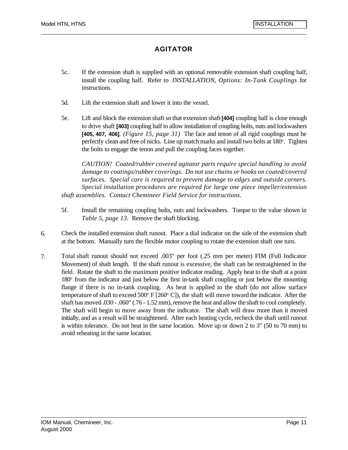# **AGITATOR**

- 5c. If the extension shaft is supplied with an optional removable extension shaft coupling half, install the coupling half. Refer to *INSTALLATION, Options: In-Tank Couplings* for instructions.
- 5d. Lift the extension shaft and lower it into the vessel.
- 5e. Lift and block the extension shaft so that extension shaft **[404]** coupling half is close enough to drive shaft **[403]** coupling half to allow installation of coupling bolts, nuts and lockwashers **[405, 407, 406]**. *(Figure 15, page 31)* The face and tenon of all rigid couplings must be perfectly clean and free of nicks. Line up match marks and install two bolts at 180°. Tighten the bolts to engage the tenon and pull the coupling faces together.

*CAUTION! Coated/rubber covered agitator parts require special handling to avoid damage to coatings/rubber coverings. Do not use chains or hooks on coated/covered surfaces. Special care is required to prevent damage to edges and outside corners. Special installation procedures are required for large one piece impeller/extension shaft assemblies. Contact Chemineer Field Service for instructions.*

- 5f. Install the remaining coupling bolts, nuts and lockwashers. Torque to the value shown in *Table 5, page 13*. Remove the shaft blocking.
- 6. Check the installed extension shaft runout. Place a dial indicator on the side of the extension shaft at the bottom. Manually turn the flexible motor coupling to rotate the extension shaft one turn.
- 7. Total shaft runout should not exceed .003" per foot (.25 mm per meter) FIM (Full Indicator Movement) of shaft length. If the shaft runout is excessive, the shaft can be restraightened in the field. Rotate the shaft to the maximum positive indicator reading. Apply heat to the shaft at a point 180° from the indicator and just below the first in-tank shaft coupling or just below the mounting flange if there is no in-tank coupling. As heat is applied to the shaft (do not allow surface temperature of shaft to exceed  $500^{\circ}$  F [260 $^{\circ}$  C]), the shaft will move toward the indicator. After the shaft has moved .030 - .060" (.76 - 1.52 mm), remove the heat and allow the shaft to cool completely. The shaft will begin to move away from the indicator. The shaft will draw more than it moved initially, and as a result will be straightened. After each heating cycle, recheck the shaft until runout is within tolerance. Do not heat in the same location. Move up or down 2 to 3" (50 to 70 mm) to avoid reheating in the same location.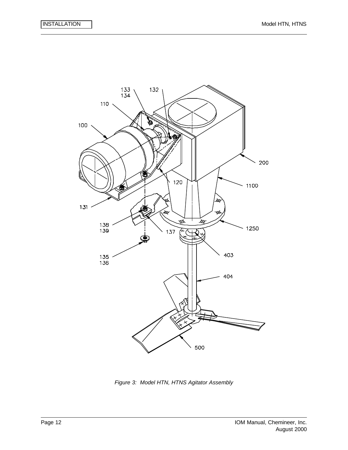

*Figure 3: Model HTN, HTNS Agitator Assembly*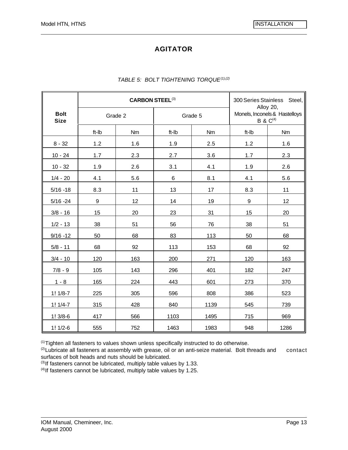# **AGITATOR**

|                            | <b>CARBON STEEL(3)</b> |           |         |      | 300 Series Stainless Steel,                                 |      |
|----------------------------|------------------------|-----------|---------|------|-------------------------------------------------------------|------|
| <b>Bolt</b><br><b>Size</b> | Grade 2                |           | Grade 5 |      | Alloy 20,<br>Monels, Inconels & Hastelloys<br>B & $C^{(4)}$ |      |
|                            | ft-Ib                  | <b>Nm</b> | ft-Ib   | Nm   | ft-Ib                                                       | Nm   |
| $8 - 32$                   | 1.2                    | 1.6       | 1.9     | 2.5  | 1.2                                                         | 1.6  |
| $10 - 24$                  | 1.7                    | 2.3       | 2.7     | 3.6  | 1.7                                                         | 2.3  |
| $10 - 32$                  | 1.9                    | 2.6       | 3.1     | 4.1  | 1.9                                                         | 2.6  |
| $1/4 - 20$                 | 4.1                    | 5.6       | 6       | 8.1  | 4.1                                                         | 5.6  |
| $5/16 - 18$                | 8.3                    | 11        | 13      | 17   | 8.3                                                         | 11   |
| $5/16 - 24$                | $\boldsymbol{9}$       | 12        | 14      | 19   | $\boldsymbol{9}$                                            | 12   |
| $3/8 - 16$                 | 15                     | 20        | 23      | 31   | 15                                                          | 20   |
| $1/2 - 13$                 | 38                     | 51        | 56      | 76   | 38                                                          | 51   |
| $9/16 - 12$                | 50                     | 68        | 83      | 113  | 50                                                          | 68   |
| $5/8 - 11$                 | 68                     | 92        | 113     | 153  | 68                                                          | 92   |
| $3/4 - 10$                 | 120                    | 163       | 200     | 271  | 120                                                         | 163  |
| $7/8 - 9$                  | 105                    | 143       | 296     | 401  | 182                                                         | 247  |
| $1 - 8$                    | 165                    | 224       | 443     | 601  | 273                                                         | 370  |
| $1! 1/8-7$                 | 225                    | 305       | 596     | 808  | 386                                                         | 523  |
| $1! 1/4-7$                 | 315                    | 428       | 840     | 1139 | 545                                                         | 739  |
| $1!3/8-6$                  | 417                    | 566       | 1103    | 1495 | 715                                                         | 969  |
| $1! 1/2-6$                 | 555                    | 752       | 1463    | 1983 | 948                                                         | 1286 |

#### *TABLE 5: BOLT TIGHTENING TORQUE(1),(2)*

(1)Tighten all fasteners to values shown unless specifically instructed to do otherwise.

 $(2)$ Lubricate all fasteners at assembly with grease, oil or an anti-seize material. Bolt threads and contact surfaces of bolt heads and nuts should be lubricated.

 $^{(3)}$ If fasteners cannot be lubricated, multiply table values by 1.33.

 $(4)$ If fasteners cannot be lubricated, multiply table values by 1.25.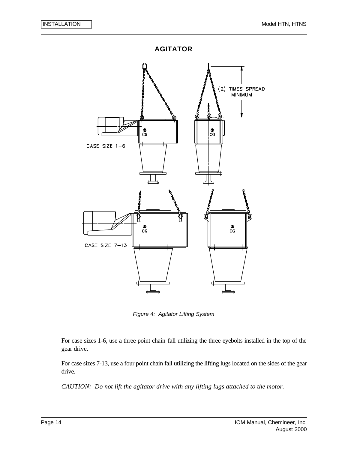

*Figure 4: Agitator Lifting System*

For case sizes 1-6, use a three point chain fall utilizing the three eyebolts installed in the top of the gear drive.

For case sizes 7-13, use a four point chain fall utilizing the lifting lugs located on the sides of the gear drive.

*CAUTION: Do not lift the agitator drive with any lifting lugs attached to the motor.*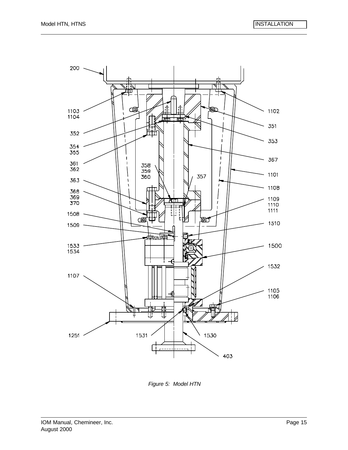

*Figure 5: Model HTN*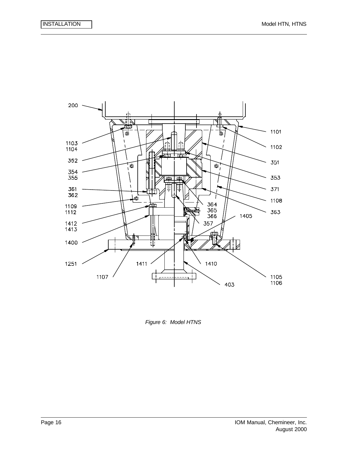

*Figure 6: Model HTNS*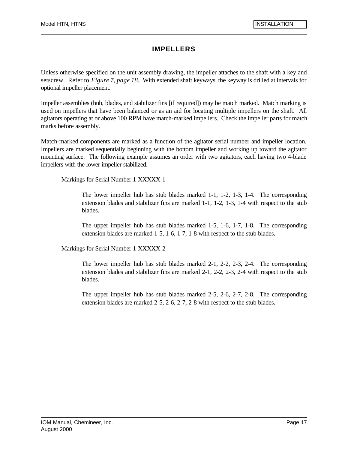# **IMPELLERS**

Unless otherwise specified on the unit assembly drawing, the impeller attaches to the shaft with a key and setscrew. Refer to *Figure 7, page 18.* With extended shaft keyways, the keyway is drilled at intervals for optional impeller placement.

Impeller assemblies (hub, blades, and stabilizer fins [if required]) may be match marked. Match marking is used on impellers that have been balanced or as an aid for locating multiple impellers on the shaft. All agitators operating at or above 100 RPM have match-marked impellers. Check the impeller parts for match marks before assembly.

Match-marked components are marked as a function of the agitator serial number and impeller location. Impellers are marked sequentially beginning with the bottom impeller and working up toward the agitator mounting surface. The following example assumes an order with two agitators, each having two 4-blade impellers with the lower impeller stabilized.

Markings for Serial Number 1-XXXXX-1

The lower impeller hub has stub blades marked 1-1, 1-2, 1-3, 1-4. The corresponding extension blades and stabilizer fins are marked 1-1, 1-2, 1-3, 1-4 with respect to the stub blades.

The upper impeller hub has stub blades marked 1-5, 1-6, 1-7, 1-8. The corresponding extension blades are marked 1-5, 1-6, 1-7, 1-8 with respect to the stub blades.

Markings for Serial Number 1-XXXXX-2

The lower impeller hub has stub blades marked 2-1, 2-2, 2-3, 2-4. The corresponding extension blades and stabilizer fins are marked 2-1, 2-2, 2-3, 2-4 with respect to the stub blades.

The upper impeller hub has stub blades marked 2-5, 2-6, 2-7, 2-8. The corresponding extension blades are marked 2-5, 2-6, 2-7, 2-8 with respect to the stub blades.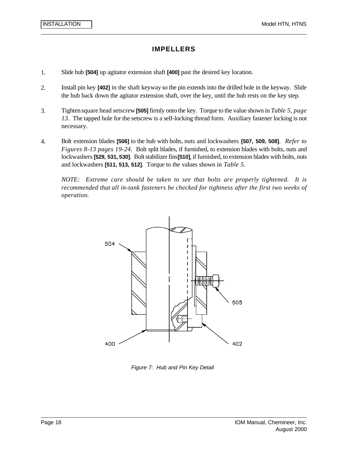### **IMPELLERS**

- 1. Slide hub **[504]** up agitator extension shaft **[400]** past the desired key location.
- 2. Install pin key **[402]** in the shaft keyway so the pin extends into the drilled hole in the keyway. Slide the hub back down the agitator extension shaft, over the key, until the hub rests on the key step.
- 3. Tighten square head setscrew **[505]** firmly onto the key. Torque to the value shown in *Table 5, page 13.* The tapped hole for the setscrew is a self-locking thread form. Auxiliary fastener locking is not necessary.
- 4. Bolt extension blades **[506]** to the hub with bolts, nuts and lockwashers **[507, 509, 508]**. *Refer to Figures 8-13 pages 19-24.* Bolt split blades, if furnished, to extension blades with bolts, nuts and lockwashers**[529, 531, 530]**. Bolt stabilizer fins **[510]**, if furnished, to extension blades with bolts, nuts and lockwashers **[511, 513, 512]**. Torque to the values shown in *Table 5.*

*NOTE: Extreme care should be taken to see that bolts are properly tightened. It is recommended that all in-tank fasteners be checked for tightness after the first two weeks of operation.*



*Figure 7: Hub and Pin Key Detail*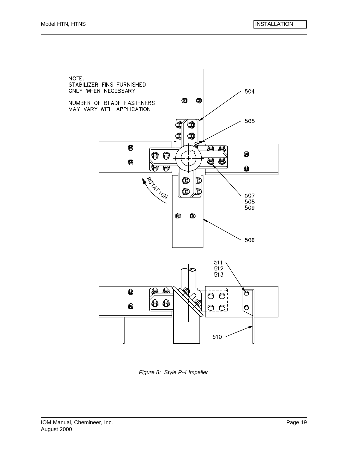



*Figure 8: Style P-4 Impeller*

NOTE:

STABILIZER FINS FURNISHED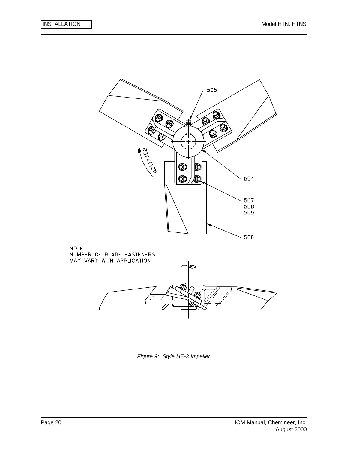

*Figure 9: Style HE-3 Impeller*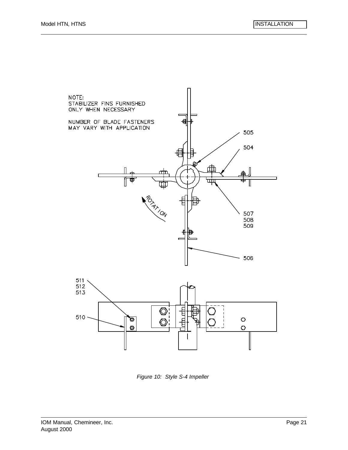# NUMBER OF BLADE FASTENERS đ MAY VARY WITH APPLICATION 505 504 dih щ 目 **POLITICAL CALL** 507 508 509  $\blacksquare$ 506 511 512 513  $\overline{\mathbb{O}}$  $510 -$ ୭  $\circ$  $\circledcirc$ O  $\circ$  $\overline{\phantom{a}}$

*Figure 10: Style S-4 Impeller*

NOTE:

STABILIZER FINS FURNISHED ONLY WHEN NECESSARY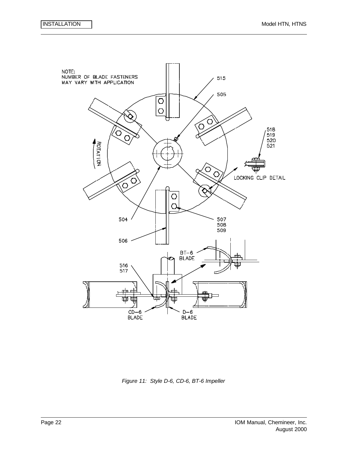

*Figure 11: Style D-6, CD-6, BT-6 Impeller*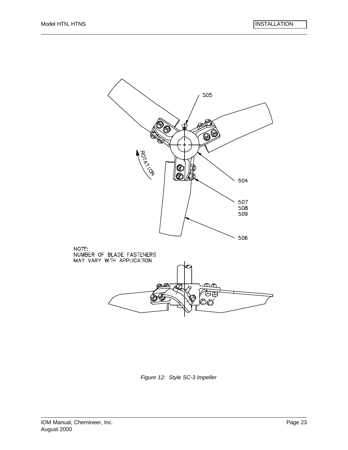

*Figure 12: Style SC-3 Impeller*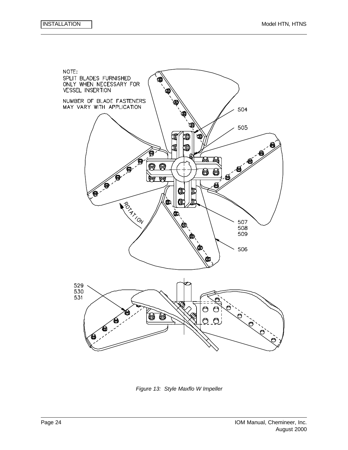

*Figure 13: Style Maxflo W Impeller*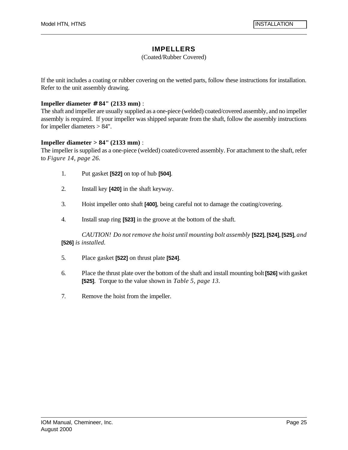#### **IMPELLERS**

#### (Coated/Rubber Covered)

If the unit includes a coating or rubber covering on the wetted parts, follow these instructions for installation. Refer to the unit assembly drawing.

#### **Impeller diameter # 84" (2133 mm)** :

The shaft and impeller are usually supplied as a one-piece (welded) coated/covered assembly, and no impeller assembly is required. If your impeller was shipped separate from the shaft, follow the assembly instructions for impeller diameters > 84".

#### **Impeller diameter > 84" (2133 mm)** :

The impeller is supplied as a one-piece (welded) coated/covered assembly. For attachment to the shaft, refer to *Figure 14, page 26.*

- 1. Put gasket **[522]** on top of hub **[504]**.
- 2. Install key **[420]** in the shaft keyway.
- 3. Hoist impeller onto shaft **[400]**, being careful not to damage the coating/covering.
- 4. Install snap ring **[523]** in the groove at the bottom of the shaft.

*CAUTION! Do not remove the hoist until mounting bolt assembly* **[522]**, **[524]**, **[525]**, *and* **[526]** *is installed.*

- 5. Place gasket **[522]** on thrust plate **[524]**.
- 6. Place the thrust plate over the bottom of the shaft and install mounting bolt **[526]** with gasket **[525]**. Torque to the value shown in *Table 5, page 13.*
- 7. Remove the hoist from the impeller.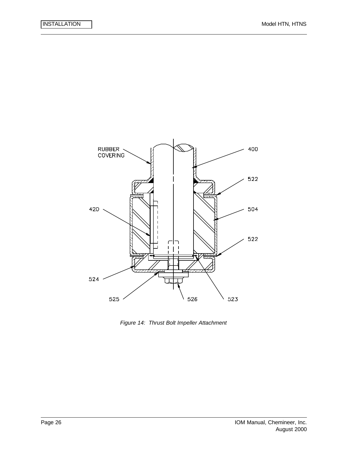

*Figure 14: Thrust Bolt Impeller Attachment*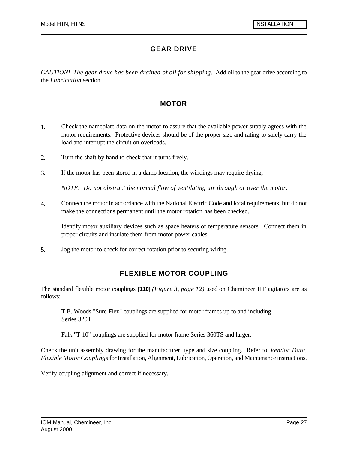# **GEAR DRIVE**

*CAUTION! The gear drive has been drained of oil for shipping.* Add oil to the gear drive according to the *Lubrication* section.

### **MOTOR**

- 1. Check the nameplate data on the motor to assure that the available power supply agrees with the motor requirements. Protective devices should be of the proper size and rating to safely carry the load and interrupt the circuit on overloads.
- 2. Turn the shaft by hand to check that it turns freely.
- 3. If the motor has been stored in a damp location, the windings may require drying.

*NOTE: Do not obstruct the normal flow of ventilating air through or over the motor.*

4. Connect the motor in accordance with the National Electric Code and local requirements, but do not make the connections permanent until the motor rotation has been checked.

Identify motor auxiliary devices such as space heaters or temperature sensors. Connect them in proper circuits and insulate them from motor power cables.

5. Jog the motor to check for correct rotation prior to securing wiring.

# **FLEXIBLE MOTOR COUPLING**

The standard flexible motor couplings **[110]** *(Figure 3, page 12)* used on Chemineer HT agitators are as follows:

T.B. Woods "Sure-Flex" couplings are supplied for motor frames up to and including Series 320T.

Falk "T-10" couplings are supplied for motor frame Series 360TS and larger.

Check the unit assembly drawing for the manufacturer, type and size coupling. Refer to *Vendor Data, Flexible Motor Couplings* for Installation, Alignment, Lubrication, Operation, and Maintenance instructions.

Verify coupling alignment and correct if necessary.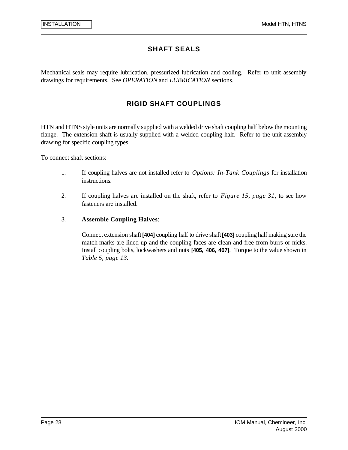### **SHAFT SEALS**

Mechanical seals may require lubrication, pressurized lubrication and cooling. Refer to unit assembly drawings for requirements. See *OPERATION* and *LUBRICATION* sections.

### **RIGID SHAFT COUPLINGS**

HTN and HTNS style units are normally supplied with a welded drive shaft coupling half below the mounting flange. The extension shaft is usually supplied with a welded coupling half. Refer to the unit assembly drawing for specific coupling types.

To connect shaft sections:

- 1. If coupling halves are not installed refer to *Options: In-Tank Couplings* for installation instructions.
- 2. If coupling halves are installed on the shaft, refer to *Figure 15, page 31,* to see how fasteners are installed.

#### 3. **Assemble Coupling Halves**:

Connect extension shaft **[404]** coupling half to drive shaft **[403]** coupling half making sure the match marks are lined up and the coupling faces are clean and free from burrs or nicks. Install coupling bolts, lockwashers and nuts **[405, 406, 407]**. Torque to the value shown in *Table 5, page 13.*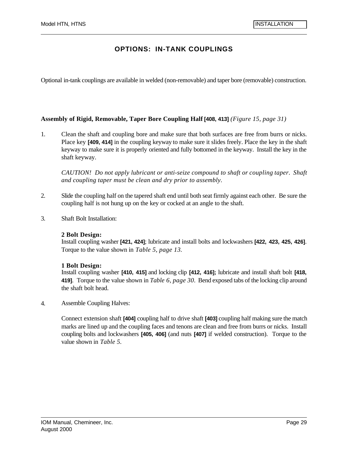### **OPTIONS: IN-TANK COUPLINGS**

Optional in-tank couplings are available in welded (non-removable) and taper bore (removable) construction.

#### **Assembly of Rigid, Removable, Taper Bore Coupling Half [408, 413]** *(Figure 15, page 31)*

1. Clean the shaft and coupling bore and make sure that both surfaces are free from burrs or nicks. Place key **[409, 414]** in the coupling keyway to make sure it slides freely. Place the key in the shaft keyway to make sure it is properly oriented and fully bottomed in the keyway. Install the key in the shaft keyway.

*CAUTION! Do not apply lubricant or anti-seize compound to shaft or coupling taper. Shaft and coupling taper must be clean and dry prior to assembly.*

- 2. Slide the coupling half on the tapered shaft end until both seat firmly against each other. Be sure the coupling half is not hung up on the key or cocked at an angle to the shaft.
- 3. Shaft Bolt Installation:

#### **2 Bolt Design:**

Install coupling washer **[421, 424]**; lubricate and install bolts and lockwashers **[422, 423, 425, 426]**. Torque to the value shown in *Table 5, page 13.*

#### **1 Bolt Design:**

Install coupling washer **[410, 415]** and locking clip **[412, 416];** lubricate and install shaft bolt **[418, 419]**. Torque to the value shown in *Table 6, page 30.* Bend exposed tabs of the locking clip around the shaft bolt head.

4. Assemble Coupling Halves:

Connect extension shaft **[404]** coupling half to drive shaft **[403]** coupling half making sure the match marks are lined up and the coupling faces and tenons are clean and free from burrs or nicks. Install coupling bolts and lockwashers **[405, 406]** (and nuts **[407]** if welded construction). Torque to the value shown in *Table 5.*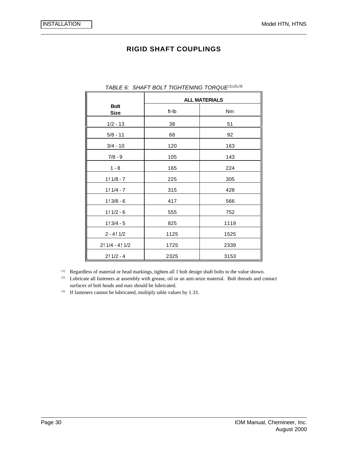#### **RIGID SHAFT COUPLINGS**

|                            | <b>ALL MATERIALS</b> |      |  |  |
|----------------------------|----------------------|------|--|--|
| <b>Bolt</b><br><b>Size</b> | ft-Ib                | Nm   |  |  |
| $1/2 - 13$                 | 38                   | 51   |  |  |
| $5/8 - 11$                 | 68                   | 92   |  |  |
| $3/4 - 10$                 | 120                  | 163  |  |  |
| $7/8 - 9$                  | 105                  | 143  |  |  |
| $1 - 8$                    | 165                  | 224  |  |  |
| $1! 1/8 - 7$               | 225                  | 305  |  |  |
| $1!1/4-7$                  | 315                  | 428  |  |  |
| $1!3/8 - 6$                | 417                  | 566  |  |  |
| $1! 1/2 - 6$               | 555                  | 752  |  |  |
| $1!3/4-5$                  | 825                  | 1119 |  |  |
| $2 - 4!1/2$                | 1125                 | 1525 |  |  |
| $2!1/4 - 4!1/2$            | 1725                 | 2339 |  |  |
| $2!1/2 - 4$                | 2325                 | 3153 |  |  |

#### *TABLE 6: SHAFT BOLT TIGHTENING TORQUE(1),(2),(3)*

(1) Regardless of material or head markings, tighten all 1 bolt design shaft bolts to the value shown.

(2) Lubricate all fasteners at assembly with grease, oil or an anti-seize material. Bolt threads and contact surfaces of bolt heads and nuts should be lubricated.

(3) If fasteners cannot be lubricated, multiply table values by 1.33.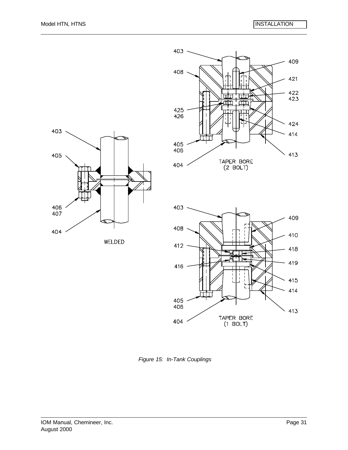





*Figure 15: In-Tank Couplings*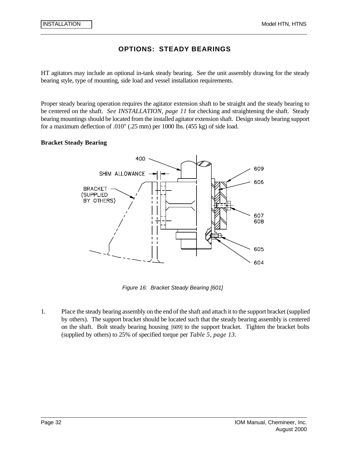HT agitators may include an optional in-tank steady bearing. See the unit assembly drawing for the steady bearing style, type of mounting, side load and vessel installation requirements.

Proper steady bearing operation requires the agitator extension shaft to be straight and the steady bearing to be centered on the shaft. *See INSTALLATION, page 11* for checking and straightening the shaft. Steady bearing mountings should be located from the installed agitator extension shaft. Design steady bearing support for a maximum deflection of .010" (.25 mm) per 1000 lbs. (455 kg) of side load.

#### **Bracket Steady Bearing**



*Figure 16: Bracket Steady Bearing [601]*

1. Place the steady bearing assembly on the end of the shaft and attach it to the support bracket (supplied by others). The support bracket should be located such that the steady bearing assembly is centered on the shaft. Bolt steady bearing housing [609] to the support bracket. Tighten the bracket bolts (supplied by others) to 25% of specified torque per *Table 5, page 13.*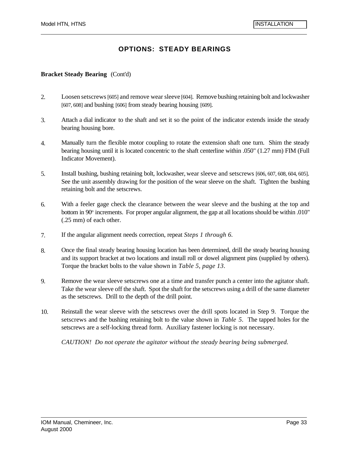#### **Bracket Steady Bearing** (Cont'd)

- 2. Loosen setscrews [605] and remove wear sleeve [604]. Remove bushing retaining bolt and lockwasher [607, 608] and bushing [606] from steady bearing housing [609].
- 3. Attach a dial indicator to the shaft and set it so the point of the indicator extends inside the steady bearing housing bore.
- 4. Manually turn the flexible motor coupling to rotate the extension shaft one turn. Shim the steady bearing housing until it is located concentric to the shaft centerline within .050" (1.27 mm) FIM (Full Indicator Movement).
- 5. Install bushing, bushing retaining bolt, lockwasher, wear sleeve and setscrews [606, 607, 608, 604, 605]. See the unit assembly drawing for the position of the wear sleeve on the shaft. Tighten the bushing retaining bolt and the setscrews.
- 6. With a feeler gage check the clearance between the wear sleeve and the bushing at the top and bottom in 90° increments. For proper angular alignment, the gap at all locations should be within .010" (.25 mm) of each other.
- 7. If the angular alignment needs correction, repeat *Steps 1 through 6.*
- 8. Once the final steady bearing housing location has been determined, drill the steady bearing housing and its support bracket at two locations and install roll or dowel alignment pins (supplied by others). Torque the bracket bolts to the value shown in *Table 5, page 13*.
- 9. Remove the wear sleeve setscrews one at a time and transfer punch a center into the agitator shaft. Take the wear sleeve off the shaft. Spot the shaft for the setscrews using a drill of the same diameter as the setscrews. Drill to the depth of the drill point.
- 10. Reinstall the wear sleeve with the setscrews over the drill spots located in Step 9. Torque the setscrews and the bushing retaining bolt to the value shown in *Table 5.* The tapped holes for the setscrews are a self-locking thread form. Auxiliary fastener locking is not necessary.

*CAUTION! Do not operate the agitator without the steady bearing being submerged.*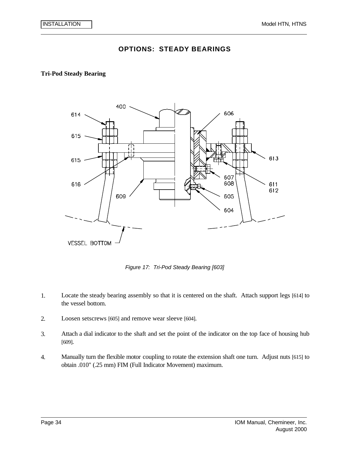#### **Tri-Pod Steady Bearing**



*Figure 17: Tri-Pod Steady Bearing [603]*

- 1. Locate the steady bearing assembly so that it is centered on the shaft. Attach support legs [614] to the vessel bottom.
- 2. Loosen setscrews [605] and remove wear sleeve [604].
- 3. Attach a dial indicator to the shaft and set the point of the indicator on the top face of housing hub [609].
- 4. Manually turn the flexible motor coupling to rotate the extension shaft one turn. Adjust nuts [615] to obtain .010" (.25 mm) FIM (Full Indicator Movement) maximum.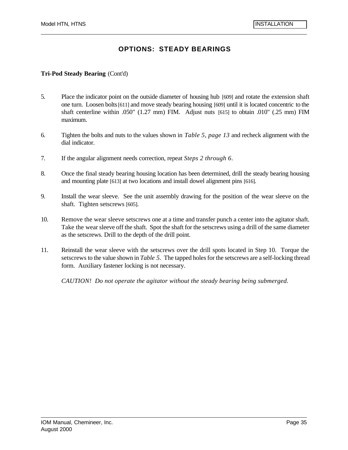#### **Tri-Pod Steady Bearing** (Cont'd)

- 5. Place the indicator point on the outside diameter of housing hub [609] and rotate the extension shaft one turn. Loosen bolts [611] and move steady bearing housing [609] until it is located concentric to the shaft centerline within .050" (1.27 mm) FIM. Adjust nuts [615] to obtain .010" (.25 mm) FIM maximum.
- 6. Tighten the bolts and nuts to the values shown in *Table 5, page 13* and recheck alignment with the dial indicator.
- 7. If the angular alignment needs correction, repeat *Steps 2 through 6*.
- 8. Once the final steady bearing housing location has been determined, drill the steady bearing housing and mounting plate [613] at two locations and install dowel alignment pins [616].
- 9. Install the wear sleeve. See the unit assembly drawing for the position of the wear sleeve on the shaft. Tighten setscrews [605].
- 10. Remove the wear sleeve setscrews one at a time and transfer punch a center into the agitator shaft. Take the wear sleeve off the shaft. Spot the shaft for the setscrews using a drill of the same diameter as the setscrews. Drill to the depth of the drill point.
- 11. Reinstall the wear sleeve with the setscrews over the drill spots located in Step 10. Torque the setscrews to the value shown in *Table 5.* The tapped holes for the setscrews are a self-locking thread form. Auxiliary fastener locking is not necessary.

*CAUTION! Do not operate the agitator without the steady bearing being submerged.*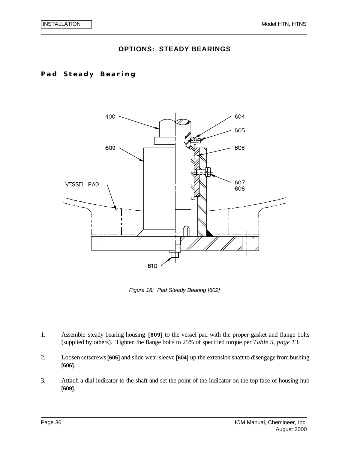### **Pad Steady Bearing**



*Figure 18: Pad Steady Bearing [602]*

- 1. Assemble steady bearing housing **[609]** to the vessel pad with the proper gasket and flange bolts (supplied by others). Tighten the flange bolts to 25% of specified torque per *Table 5, page 13.*
- 2. Loosen setscrews **[605]** and slide wear sleeve **[604]** up the extension shaft to disengage from bushing **[606]**.
- 3. Attach a dial indicator to the shaft and set the point of the indicator on the top face of housing hub **[609]**.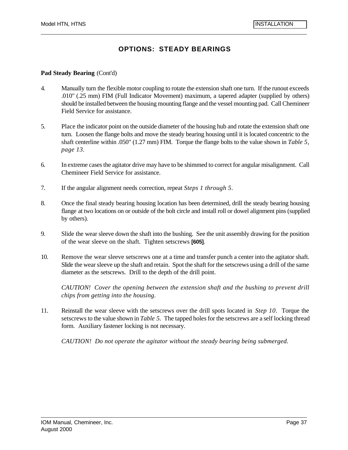#### **Pad Steady Bearing** (Cont'd)

- 4. Manually turn the flexible motor coupling to rotate the extension shaft one turn. If the runout exceeds .010" (.25 mm) FIM (Full Indicator Movement) maximum, a tapered adapter (supplied by others) should be installed between the housing mounting flange and the vessel mounting pad. Call Chemineer Field Service for assistance.
- 5. Place the indicator point on the outside diameter of the housing hub and rotate the extension shaft one turn. Loosen the flange bolts and move the steady bearing housing until it is located concentric to the shaft centerline within .050" (1.27 mm) FIM. Torque the flange bolts to the value shown in *Table 5, page 13.*
- 6. In extreme cases the agitator drive may have to be shimmed to correct for angular misalignment. Call Chemineer Field Service for assistance.
- 7. If the angular alignment needs correction, repeat *Steps 1 through 5*.
- 8. Once the final steady bearing housing location has been determined, drill the steady bearing housing flange at two locations on or outside of the bolt circle and install roll or dowel alignment pins (supplied by others).
- 9. Slide the wear sleeve down the shaft into the bushing. See the unit assembly drawing for the position of the wear sleeve on the shaft. Tighten setscrews **[605]**.
- 10. Remove the wear sleeve setscrews one at a time and transfer punch a center into the agitator shaft. Slide the wear sleeve up the shaft and retain. Spot the shaft for the setscrews using a drill of the same diameter as the setscrews. Drill to the depth of the drill point.

*CAUTION! Cover the opening between the extension shaft and the bushing to prevent drill chips from getting into the housing.*

11. Reinstall the wear sleeve with the setscrews over the drill spots located in *Step 10*. Torque the setscrews to the value shown in *Table 5.* The tapped holes for the setscrews are a self locking thread form. Auxiliary fastener locking is not necessary.

*CAUTION! Do not operate the agitator without the steady bearing being submerged.*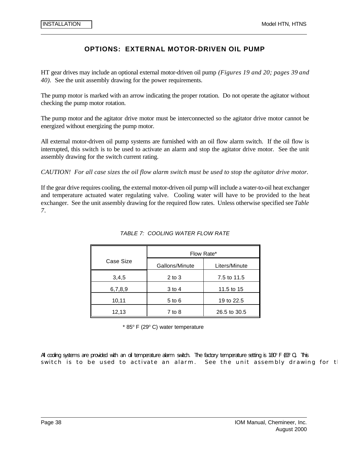## **OPTIONS: EXTERNAL MOTOR-DRIVEN OIL PUMP**

HT gear drives may include an optional external motor-driven oil pump *(Figures 19 and 20; pages 39 and 40).* See the unit assembly drawing for the power requirements.

The pump motor is marked with an arrow indicating the proper rotation. Do not operate the agitator without checking the pump motor rotation.

The pump motor and the agitator drive motor must be interconnected so the agitator drive motor cannot be energized without energizing the pump motor.

All external motor-driven oil pump systems are furnished with an oil flow alarm switch. If the oil flow is interrupted, this switch is to be used to activate an alarm and stop the agitator drive motor. See the unit assembly drawing for the switch current rating.

*CAUTION! For all case sizes the oil flow alarm switch must be used to stop the agitator drive motor.*

If the gear drive requires cooling, the external motor-driven oil pump will include a water-to-oil heat exchanger and temperature actuated water regulating valve. Cooling water will have to be provided to the heat exchanger. See the unit assembly drawing for the required flow rates. Unless otherwise specified see *Table 7*.

|           | Flow Rate*     |               |  |
|-----------|----------------|---------------|--|
| Case Size | Gallons/Minute | Liters/Minute |  |
| 3,4,5     | $2$ to $3$     | 7.5 to 11.5   |  |
| 6,7,8,9   | 3 to 4         | 11.5 to 15    |  |
| 10,11     | $5$ to $6$     | 19 to 22.5    |  |
| 12,13     | $7$ to 8       | 26.5 to 30.5  |  |

#### *TABLE 7: COOLING WATER FLOW RATE*

\* 85° F (29° C) water temperature

All cooling systems are provided with an oil temperature alarm switch. The factory temperature setting is 180° F (83° C). This switch is to be used to activate an alarm. See the unit assembly drawing for  $t$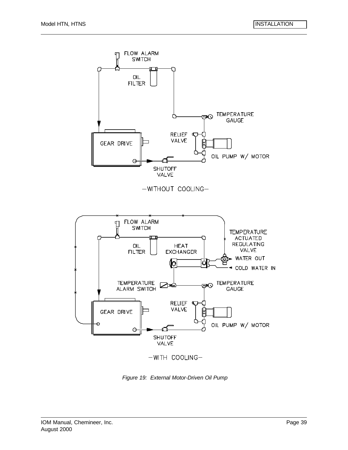

*Figure 19: External Motor-Driven Oil Pump*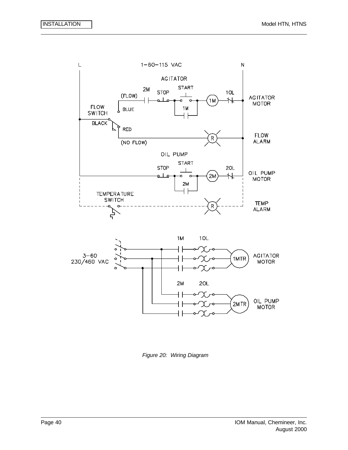



 $2M$ 

┪┢

 $20L$ 

χ,

OIL PUMP<br>MOTOR

2MTR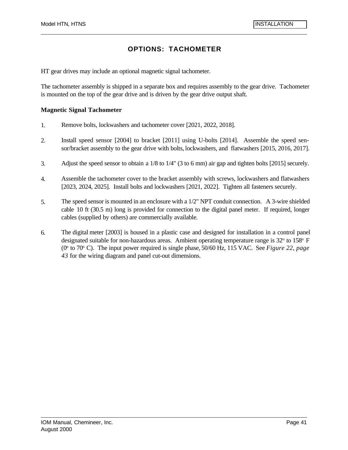# **OPTIONS: TACHOMETER**

HT gear drives may include an optional magnetic signal tachometer.

The tachometer assembly is shipped in a separate box and requires assembly to the gear drive. Tachometer is mounted on the top of the gear drive and is driven by the gear drive output shaft.

#### **Magnetic Signal Tachometer**

- 1. Remove bolts, lockwashers and tachometer cover [2021, 2022, 2018].
- 2. Install speed sensor [2004] to bracket [2011] using U-bolts [2014]. Assemble the speed sensor/bracket assembly to the gear drive with bolts, lockwashers, and flatwashers [2015, 2016, 2017].
- 3. Adjust the speed sensor to obtain a 1/8 to 1/4" (3 to 6 mm) air gap and tighten bolts [2015] securely.
- 4. Assemble the tachometer cover to the bracket assembly with screws, lockwashers and flatwashers [2023, 2024, 2025]. Install bolts and lockwashers [2021, 2022]. Tighten all fasteners securely.
- 5. The speed sensor is mounted in an enclosure with a 1/2" NPT conduit connection. A 3-wire shielded cable 10 ft (30.5 m) long is provided for connection to the digital panel meter. If required, longer cables (supplied by others) are commercially available.
- 6. The digital meter [2003] is housed in a plastic case and designed for installation in a control panel designated suitable for non-hazardous areas. Ambient operating temperature range is 32° to 158° F (0<sup>o</sup> to 70<sup>o</sup> C). The input power required is single phase, 50/60 Hz, 115 VAC. See *Figure 22, page 43* for the wiring diagram and panel cut-out dimensions.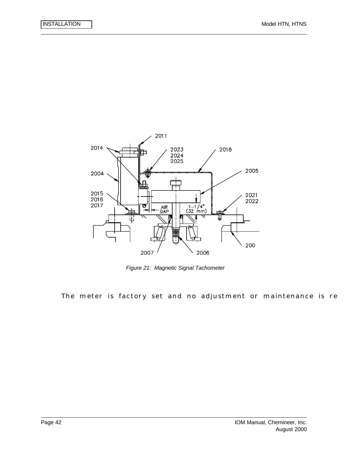

*Figure 21: Magnetic Signal Tachometer*

The meter is factory set and no adjustment or maintenance is re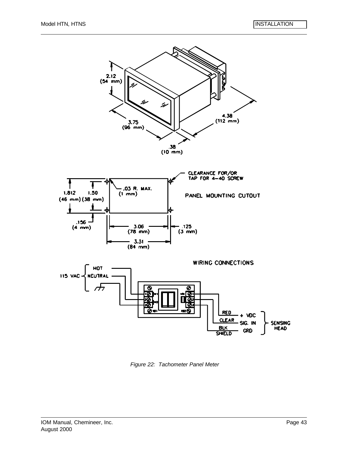

*Figure 22: Tachometer Panel Meter*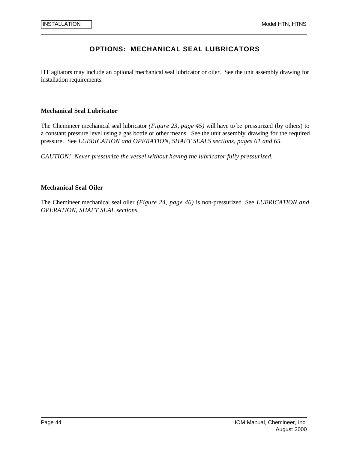## **OPTIONS: MECHANICAL SEAL LUBRICATORS**

HT agitators may include an optional mechanical seal lubricator or oiler. See the unit assembly drawing for installation requirements.

#### **Mechanical Seal Lubricator**

The Chemineer mechanical seal lubricator *(Figure 23, page 45)* will have to be pressurized (by others) to a constant pressure level using a gas bottle or other means. See the unit assembly drawing for the required pressure. See *LUBRICATION and OPERATION, SHAFT SEALS sections, pages 61 and 65.*

*CAUTION! Never pressurize the vessel without having the lubricator fully pressurized.*

#### **Mechanical Seal Oiler**

The Chemineer mechanical seal oiler *(Figure 24, page 46)* is non-pressurized. See *LUBRICATION and OPERATION, SHAFT SEAL sections.*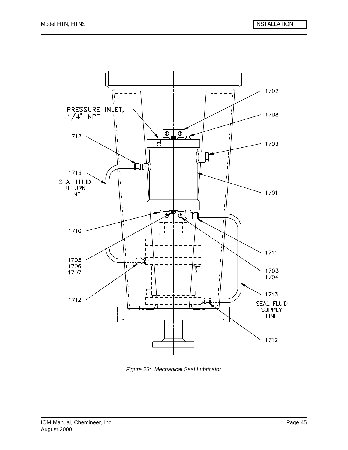

*Figure 23: Mechanical Seal Lubricator*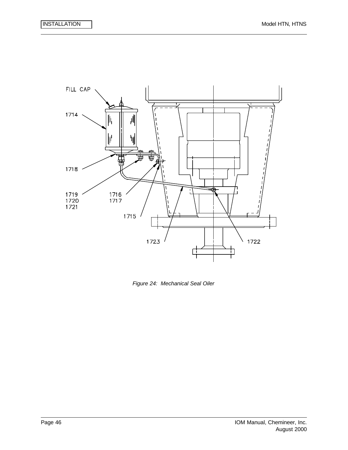

*Figure 24: Mechanical Seal Oiler*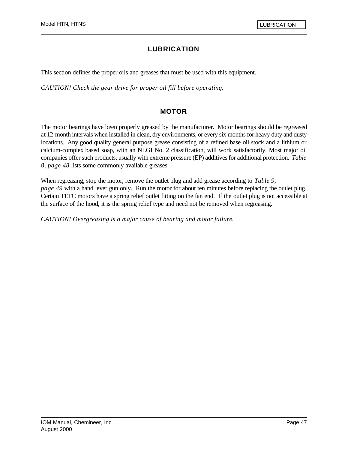## **LUBRICATION**

This section defines the proper oils and greases that must be used with this equipment.

*CAUTION! Check the gear drive for proper oil fill before operating.* 

### **MOTOR**

The motor bearings have been properly greased by the manufacturer. Motor bearings should be regreased at 12-month intervals when installed in clean, dry environments, or every six months for heavy duty and dusty locations. Any good quality general purpose grease consisting of a refined base oil stock and a lithium or calcium-complex based soap, with an NLGI No. 2 classification, will work satisfactorily. Most major oil companies offer such products, usually with extreme pressure (EP) additives for additional protection. *Table 8, page 48* lists some commonly available greases.

When regreasing, stop the motor, remove the outlet plug and add grease according to *Table 9, page 49* with a hand lever gun only. Run the motor for about ten minutes before replacing the outlet plug. Certain TEFC motors have a spring relief outlet fitting on the fan end. If the outlet plug is not accessible at the surface of the hood, it is the spring relief type and need not be removed when regreasing.

*CAUTION! Overgreasing is a major cause of bearing and motor failure.*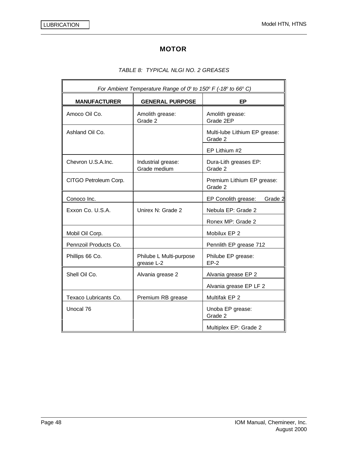# **MOTOR**

### *TABLE 8: TYPICAL NLGI NO. 2 GREASES*

| For Ambient Temperature Range of $O^c$ to 150° F (-18° to 66° C) |                                       |                                          |  |  |
|------------------------------------------------------------------|---------------------------------------|------------------------------------------|--|--|
| <b>MANUFACTURER</b>                                              | <b>GENERAL PURPOSE</b>                | ЕP                                       |  |  |
| Amoco Oil Co.                                                    | Amolith grease:<br>Grade 2            | Amolith grease:<br>Grade 2EP             |  |  |
| Ashland Oil Co.                                                  |                                       | Multi-lube Lithium EP grease:<br>Grade 2 |  |  |
|                                                                  |                                       | EP Lithium #2                            |  |  |
| Chevron U.S.A.Inc.                                               | Industrial grease:<br>Grade medium    | Dura-Lith greases EP:<br>Grade 2         |  |  |
| CITGO Petroleum Corp.                                            |                                       | Premium Lithium EP grease:<br>Grade 2    |  |  |
| Conoco Inc.                                                      |                                       | EP Conolith grease:<br>Grade 2           |  |  |
| Exxon Co. U.S.A.                                                 | Unirex N: Grade 2                     | Nebula EP: Grade 2                       |  |  |
|                                                                  |                                       | Ronex MP: Grade 2                        |  |  |
| Mobil Oil Corp.                                                  |                                       | Mobilux EP 2                             |  |  |
| Pennzoil Products Co.                                            |                                       | Pennlith EP grease 712                   |  |  |
| Phillips 66 Co.                                                  | Philube L Multi-purpose<br>grease L-2 | Philube EP grease:<br>$EP-2$             |  |  |
| Shell Oil Co.                                                    | Alvania grease 2                      | Alvania grease EP 2                      |  |  |
|                                                                  |                                       | Alvania grease EP LF 2                   |  |  |
| Texaco Lubricants Co.                                            | Premium RB grease                     | Multifak EP 2                            |  |  |
| Unocal 76                                                        |                                       | Unoba EP grease:<br>Grade 2              |  |  |
|                                                                  |                                       | Multiplex EP: Grade 2                    |  |  |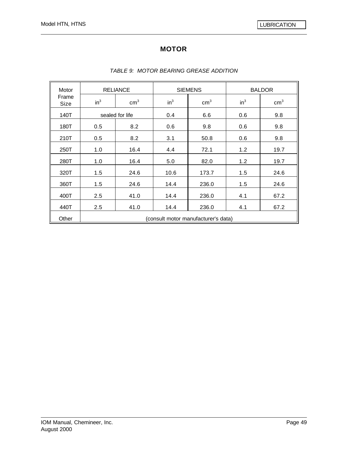# **MOTOR**

| Motor         | <b>RELIANCE</b>                     |                 | <b>SIEMENS</b> |               | <b>BALDOR</b> |               |
|---------------|-------------------------------------|-----------------|----------------|---------------|---------------|---------------|
| Frame<br>Size | $in^3$                              | $\text{cm}^3$   | $in^3$         | $\text{cm}^3$ | $in^3$        | $\text{cm}^3$ |
| 140T          |                                     | sealed for life | 0.4            | 6.6           | 0.6           | 9.8           |
| 180T          | 0.5                                 | 8.2             | 0.6            | 9.8           | 0.6           | 9.8           |
| 210T          | 0.5                                 | 8.2             | 3.1            | 50.8          | 0.6           | 9.8           |
| 250T          | 1.0                                 | 16.4            | 4.4            | 72.1          | 1.2           | 19.7          |
| 280T          | 1.0                                 | 16.4            | 5.0            | 82.0          | 1.2           | 19.7          |
| 320T          | 1.5                                 | 24.6            | 10.6           | 173.7         | 1.5           | 24.6          |
| 360T          | 1.5                                 | 24.6            | 14.4           | 236.0         | 1.5           | 24.6          |
| 400T          | 2.5                                 | 41.0            | 14.4           | 236.0         | 4.1           | 67.2          |
| 440T          | 2.5                                 | 41.0            | 14.4           | 236.0         | 4.1           | 67.2          |
| Other         | (consult motor manufacturer's data) |                 |                |               |               |               |

#### *TABLE 9: MOTOR BEARING GREASE ADDITION*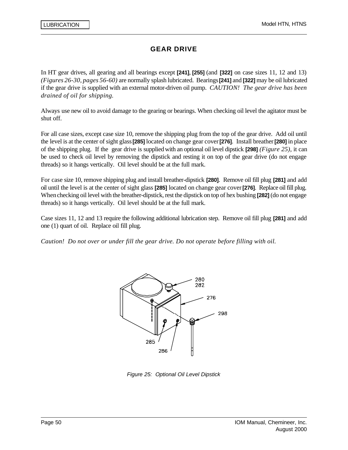In HT gear drives, all gearing and all bearings except **[241]**, **[255]** (and **[322]** on case sizes 11, 12 and 13) *(Figures 26-30, pages 56-60)* are normally splash lubricated. Bearings **[241]** and **[322]** may be oil lubricated if the gear drive is supplied with an external motor-driven oil pump. *CAUTION! The gear drive has been drained of oil for shipping.*

Always use new oil to avoid damage to the gearing or bearings. When checking oil level the agitator must be shut off.

For all case sizes, except case size 10, remove the shipping plug from the top of the gear drive. Add oil until the level is at the center of sight glass **[285]** located on change gear cover **[276]**. Install breather **[280]** in place of the shipping plug. If the gear drive is supplied with an optional oil level dipstick **[298]** *(Figure 25)*, it can be used to check oil level by removing the dipstick and resting it on top of the gear drive (do not engage threads) so it hangs vertically. Oil level should be at the full mark.

For case size 10, remove shipping plug and install breather-dipstick **[280]**. Remove oil fill plug **[281]** and add oil until the level is at the center of sight glass **[285]** located on change gear cover **[276]**. Replace oil fill plug. When checking oil level with the breather-dipstick, rest the dipstick on top of hex bushing **[282]** (do not engage threads) so it hangs vertically. Oil level should be at the full mark.

Case sizes 11, 12 and 13 require the following additional lubrication step. Remove oil fill plug **[281]** and add one (1) quart of oil. Replace oil fill plug.

*Caution! Do not over or under fill the gear drive. Do not operate before filling with oil.*



*Figure 25: Optional Oil Level Dipstick*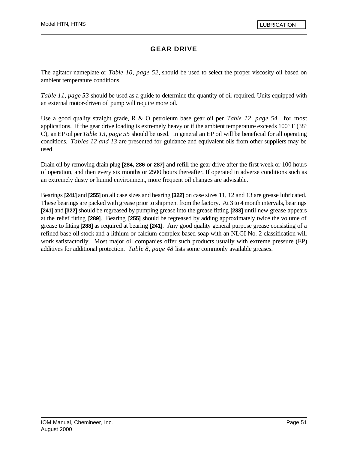The agitator nameplate or *Table 10, page 52*, should be used to select the proper viscosity oil based on ambient temperature conditions.

*Table 11, page 53* should be used as a guide to determine the quantity of oil required. Units equipped with an external motor-driven oil pump will require more oil.

Use a good quality straight grade, R & O petroleum base gear oil per *Table 12, page 54* for most applications. If the gear drive loading is extremely heavy or if the ambient temperature exceeds  $100^{\circ}$  F (38 $^{\circ}$ C), an EP oil per *Table 13, page 55* should be used. In general an EP oil will be beneficial for all operating conditions. *Tables 12 and 13* are presented for guidance and equivalent oils from other suppliers may be used.

Drain oil by removing drain plug **[284, 286 or 287]** and refill the gear drive after the first week or 100 hours of operation, and then every six months or 2500 hours thereafter. If operated in adverse conditions such as an extremely dusty or humid environment, more frequent oil changes are advisable.

Bearings **[241]** and **[255]** on all case sizes and bearing **[322]** on case sizes 11, 12 and 13 are grease lubricated. These bearings are packed with grease prior to shipment from the factory. At 3 to 4 month intervals, bearings **[241]** and **[322]** should be regreased by pumping grease into the grease fitting **[288]** until new grease appears at the relief fitting **[289]**. Bearing **[255]** should be regreased by adding approximately twice the volume of grease to fitting **[288]** as required at bearing **[241]**. Any good quality general purpose grease consisting of a refined base oil stock and a lithium or calcium-complex based soap with an NLGI No. 2 classification will work satisfactorily. Most major oil companies offer such products usually with extreme pressure (EP) additives for additional protection. *Table 8, page 48* lists some commonly available greases.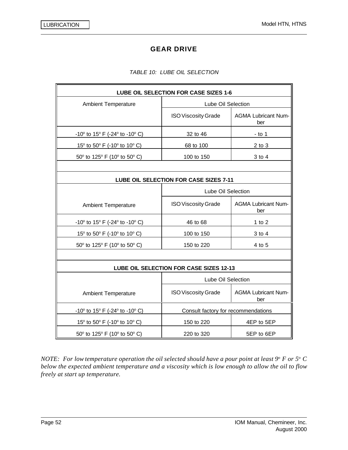#### *TABLE 10: LUBE OIL SELECTION*

| LUBE OIL SELECTION FOR CASE SIZES 1-6                              |                                         |                                   |  |  |
|--------------------------------------------------------------------|-----------------------------------------|-----------------------------------|--|--|
| <b>Ambient Temperature</b>                                         | Lube Oil Selection                      |                                   |  |  |
|                                                                    | <b>ISO Viscosity Grade</b>              | <b>AGMA Lubricant Num-</b><br>ber |  |  |
| -10 $\degree$ to 15 $\degree$ F (-24 $\degree$ to -10 $\degree$ C) | 32 to 46                                | $-$ to 1                          |  |  |
| 15 $\degree$ to 50 $\degree$ F (-10 $\degree$ to 10 $\degree$ C)   | 68 to 100                               | $2$ to $3$                        |  |  |
| 50° to 125° F (10° to 50° C)                                       | 100 to 150                              | 3 to 4                            |  |  |
|                                                                    |                                         |                                   |  |  |
|                                                                    | LUBE OIL SELECTION FOR CASE SIZES 7-11  |                                   |  |  |
|                                                                    | Lube Oil Selection                      |                                   |  |  |
| <b>Ambient Temperature</b>                                         | <b>ISO Viscosity Grade</b>              | <b>AGMA Lubricant Num-</b><br>ber |  |  |
| -10 $\degree$ to 15 $\degree$ F (-24 $\degree$ to -10 $\degree$ C) | 46 to 68                                | 1 to $2$                          |  |  |
| 15° to 50° F (-10° to 10° C)                                       | 100 to 150                              | 3 to 4                            |  |  |
| 50° to 125° F (10° to 50° C)                                       | 150 to 220                              | 4 to 5                            |  |  |
|                                                                    |                                         |                                   |  |  |
|                                                                    | LUBE OIL SELECTION FOR CASE SIZES 12-13 |                                   |  |  |
|                                                                    | Lube Oil Selection                      |                                   |  |  |
| <b>Ambient Temperature</b>                                         | <b>ISO Viscosity Grade</b>              | <b>AGMA Lubricant Num-</b><br>ber |  |  |
| $-10^{\circ}$ to 15° F (-24° to -10° C)                            | Consult factory for recommendations     |                                   |  |  |
| 15° to 50° F (-10° to 10° C)                                       | 150 to 220                              | 4EP to 5EP                        |  |  |
| 50° to 125° F (10° to 50° C)                                       | 220 to 320                              | 5EP to 6EP                        |  |  |

*NOTE: For low temperature operation the oil selected should have a pour point at least 9° F or 5° C below the expected ambient temperature and a viscosity which is low enough to allow the oil to flow freely at start up temperature.*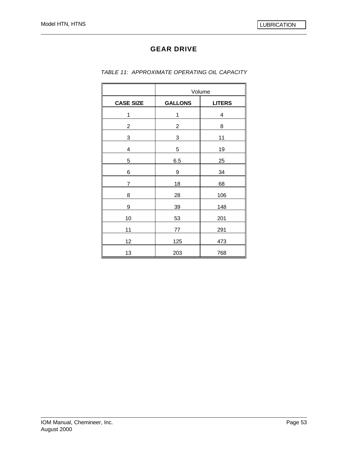|                  | Volume         |               |
|------------------|----------------|---------------|
| <b>CASE SIZE</b> | <b>GALLONS</b> | <b>LITERS</b> |
| 1                | 1              | 4             |
| $\overline{2}$   | 2              | 8             |
| 3                | 3              | 11            |
| 4                | 5              | 19            |
| 5                | 6.5            | 25            |
| 6                | 9              | 34            |
| 7                | 18             | 68            |
| 8                | 28             | 106           |
| 9                | 39             | 148           |
| 10               | 53             | 201           |
| 11               | 77             | 291           |
| 12               | 125            | 473           |
| 13               | 203            | 768           |

*TABLE 11: APPROXIMATE OPERATING OIL CAPACITY*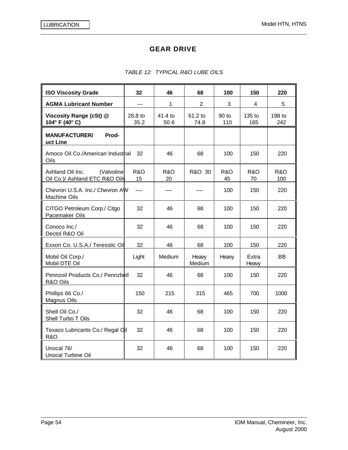| <b>ISO Viscosity Grade</b>                                       | 32                   | 46                   | 68              | 100                  | 150                  | 220           |
|------------------------------------------------------------------|----------------------|----------------------|-----------------|----------------------|----------------------|---------------|
| <b>AGMA Lubricant Number</b>                                     | ---                  | 1                    | $\overline{2}$  | 3                    | 4                    | 5             |
| Viscosity Range (cSt) @<br>104° F (40° C)                        | 28.8 to<br>35.2      | 41.4 to<br>50.6      | 61.2 to<br>74.8 | 90 to<br>110         | 135 to<br>165        | 198 to<br>242 |
| <b>MANUFACTURER/</b><br>Prod-<br>uct Line                        |                      |                      |                 |                      |                      |               |
| Amoco Oil Co./American Industrial<br>Oils                        | - 32                 | 46                   | 68              | 100                  | 150                  | 220           |
| Ashland Oil Inc.<br>(Valvoline<br>Oil Co.)/ Ashland ETC R&O Oils | <b>R&amp;O</b><br>15 | <b>R&amp;O</b><br>20 | R&O 30          | <b>R&amp;O</b><br>45 | <b>R&amp;O</b><br>70 | R&O<br>100    |
| Chevron U.S.A. Inc./ Chevron AW<br><b>Machine Oils</b>           | $---$                |                      |                 | 100                  | 150                  | 220           |
| CITGO Petroleum Corp./ Citgo<br>Pacemaker Oils                   | 32                   | 46                   | 68              | 100                  | 150                  | 220           |
| Conoco Inc./<br>Dectol R&O Oil                                   | 32                   | 46                   | 68              | 100                  | 150                  | 220           |
| Exxon Co. U.S.A./ Teresstic Oil                                  | 32                   | 46                   | 68              | 100                  | 150                  | 220           |
| Mobil Oil Corp./<br>Mobil DTE Oil                                | Light                | Medium               | Heavy<br>Medium | Heavy                | Extra<br>Heavy       | BB            |
| Pennzoil Products Co./ Pennzbell<br>R&O Oils                     | 32                   | 46                   | 68              | 100                  | 150                  | 220           |
| Phillips 66 Co./<br><b>Magnus Oils</b>                           | 150                  | 215                  | 315             | 465                  | 700                  | 1000          |
| Shell Oil Co./<br>Shell Turbo T Oils                             | 32                   | 46                   | 68              | 100                  | 150                  | 220           |
| Texaco Lubricants Co./ Regal Oil<br><b>R&amp;O</b>               | 32                   | 46                   | 68              | 100                  | 150                  | 220           |
| Unocal 76/<br>Unocal Turbine Oil                                 | 32                   | 46                   | 68              | 100                  | 150                  | 220           |

### *TABLE 12: TYPICAL R&O LUBE OILS*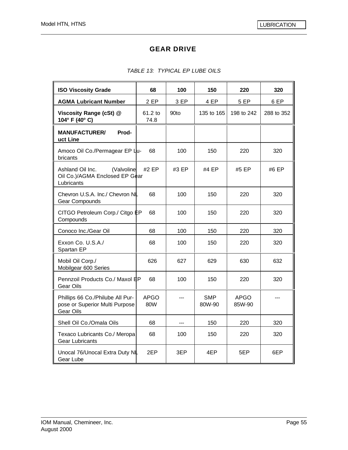#### *TABLE 13: TYPICAL EP LUBE OILS*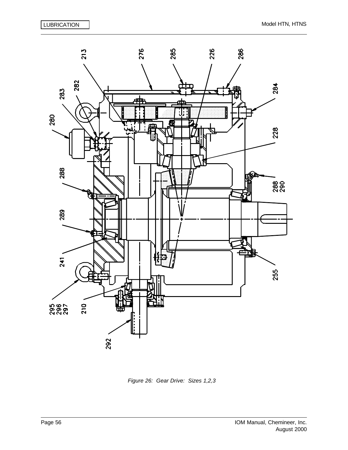

*Figure 26: Gear Drive: Sizes 1,2,3*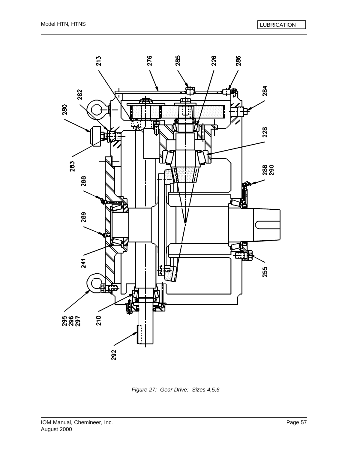

*Figure 27: Gear Drive: Sizes 4,5,6*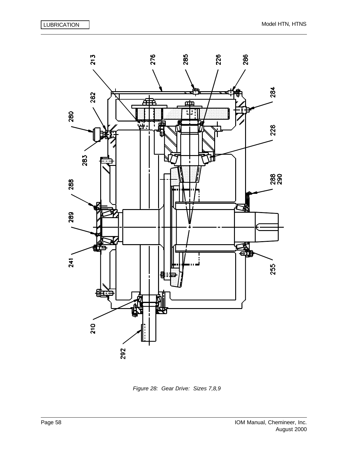

*Figure 28: Gear Drive: Sizes 7,8,9*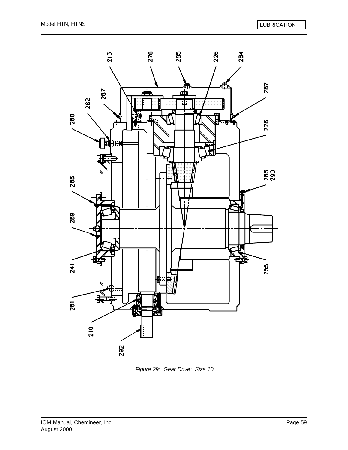

*Figure 29: Gear Drive: Size 10*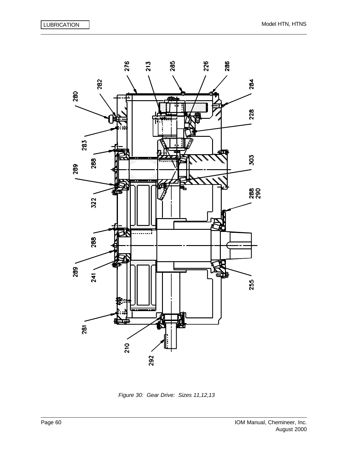

*Figure 30: Gear Drive: Sizes 11,12,13*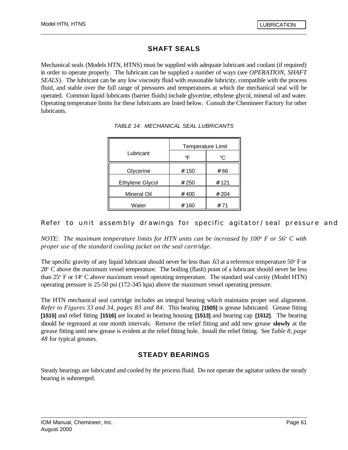## **SHAFT SEALS**

Mechanical seals (Models HTN, HTNS) must be supplied with adequate lubricant and coolant (if required) in order to operate properly. The lubricant can be supplied a number of ways (see *OPERATION, SHAFT SEALS*). The lubricant can be any low viscosity fluid with reasonable lubricity, compatible with the process fluid, and stable over the full range of pressures and temperatures at which the mechanical seal will be operated. Common liquid lubricants (barrier fluids) include glycerine, ethylene glycol, mineral oil and water. Operating temperature limits for these lubricants are listed below. Consult the Chemineer Factory for other lubricants.

|                        | Temperature Limit |             |  |
|------------------------|-------------------|-------------|--|
| Lubricant              | °F                | $^{\circ}C$ |  |
| Glycerine              | # 150             | # 66        |  |
| <b>Ethylene Glycol</b> | # 250             | # 121       |  |
| Mineral Oil            | # 400             | # 204       |  |
| Water                  | # 160             | # 71        |  |

*TABLE 14: MECHANICAL SEAL LUBRICANTS*

### Refer to unit assembly drawings for specific agitator/seal pressure and

*NOTE: The maximum temperature limits for HTN units can be increased by 100*<sup>o</sup>  *F or 56*<sup>o</sup> *C with proper use of the standard cooling jacket on the seal cartridge.*

The specific gravity of any liquid lubricant should never be less than  $.63$  at a reference temperature  $50^{\circ}$  F or 28<sup>°</sup> C above the maximum vessel temperature. The boiling (flash) point of a lubricant should never be less than 25° F or 14° C above maximum vessel operating temperature. The standard seal cavity (Model HTN) operating pressure is 25-50 psi (172-345 kpa) above the maximum vessel operating pressure.

The HTN mechanical seal cartridge includes an integral bearing which maintains proper seal alignment. *Refer to Figures 33 and 34, pages 83 and 84*. This bearing **[1505]** is grease lubricated. Grease fitting **[1515]** and relief fitting **[1516]** are located in bearing housing **[1513]** and bearing cap **[1512]**. The bearing should be regreased at one month intervals. Remove the relief fitting and add new grease **slowly** at the grease fitting until new grease is evident at the relief fitting hole. Install the relief fitting. See *Table 8, page 48* for typical greases.

### **STEADY BEARINGS**

Steady bearings are lubricated and cooled by the process fluid. Do not operate the agitator unless the steady bearing is submerged.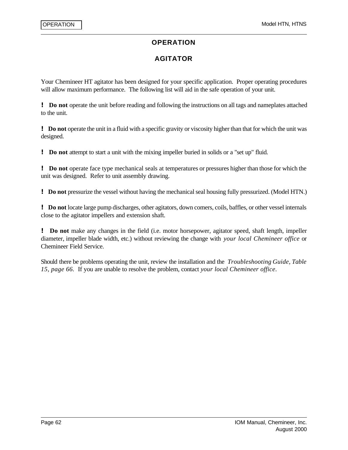### **OPERATION**

## **AGITATOR**

Your Chemineer HT agitator has been designed for your specific application. Proper operating procedures will allow maximum performance. The following list will aid in the safe operation of your unit.

**! Do not** operate the unit before reading and following the instructions on all tags and nameplates attached to the unit.

**! Do not** operate the unit in a fluid with a specific gravity or viscosity higher than that for which the unit was designed.

**! Do not** attempt to start a unit with the mixing impeller buried in solids or a "set up" fluid.

**! Do not** operate face type mechanical seals at temperatures or pressures higher than those for which the unit was designed. Refer to unit assembly drawing.

**! Do not** pressurize the vessel without having the mechanical seal housing fully pressurized. (Model HTN.)

**! Do not** locate large pump discharges, other agitators, down comers, coils, baffles, or other vessel internals close to the agitator impellers and extension shaft.

**! Do not** make any changes in the field (i.e. motor horsepower, agitator speed, shaft length, impeller diameter, impeller blade width, etc.) without reviewing the change with *your local Chemineer office* or Chemineer Field Service.

Should there be problems operating the unit, review the installation and the *Troubleshooting Guide, Table 15, page 66.* If you are unable to resolve the problem, contact *your local Chemineer office*.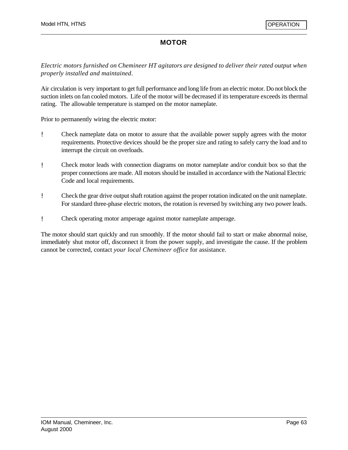## **MOTOR**

*Electric motors furnished on Chemineer HT agitators are designed to deliver their rated output when properly installed and maintained*.

Air circulation is very important to get full performance and long life from an electric motor. Do not block the suction inlets on fan cooled motors. Life of the motor will be decreased if its temperature exceeds its thermal rating. The allowable temperature is stamped on the motor nameplate.

Prior to permanently wiring the electric motor:

- ! Check nameplate data on motor to assure that the available power supply agrees with the motor requirements. Protective devices should be the proper size and rating to safely carry the load and to interrupt the circuit on overloads.
- ! Check motor leads with connection diagrams on motor nameplate and/or conduit box so that the proper connections are made. All motors should be installed in accordance with the National Electric Code and local requirements.
- ! Check the gear drive output shaft rotation against the proper rotation indicated on the unit nameplate. For standard three-phase electric motors, the rotation is reversed by switching any two power leads.
- ! Check operating motor amperage against motor nameplate amperage.

The motor should start quickly and run smoothly. If the motor should fail to start or make abnormal noise, immediately shut motor off, disconnect it from the power supply, and investigate the cause. If the problem cannot be corrected, contact *your local Chemineer office* for assistance.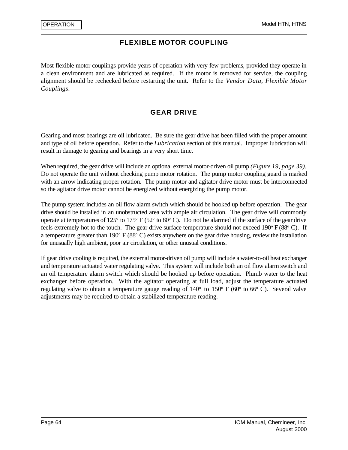### **FLEXIBLE MOTOR COUPLING**

Most flexible motor couplings provide years of operation with very few problems, provided they operate in a clean environment and are lubricated as required. If the motor is removed for service, the coupling alignment should be rechecked before restarting the unit. Refer to the *Vendor Data, Flexible Motor Couplings*.

### **GEAR DRIVE**

Gearing and most bearings are oil lubricated. Be sure the gear drive has been filled with the proper amount and type of oil before operation. Refer to the *Lubrication* section of this manual. Improper lubrication will result in damage to gearing and bearings in a very short time.

When required, the gear drive will include an optional external motor-driven oil pump *(Figure 19, page 39).* Do not operate the unit without checking pump motor rotation. The pump motor coupling guard is marked with an arrow indicating proper rotation. The pump motor and agitator drive motor must be interconnected so the agitator drive motor cannot be energized without energizing the pump motor.

The pump system includes an oil flow alarm switch which should be hooked up before operation. The gear drive should be installed in an unobstructed area with ample air circulation. The gear drive will commonly operate at temperatures of 125 $\degree$  to 175 $\degree$  F (52 $\degree$  to 80 $\degree$  C). Do not be alarmed if the surface of the gear drive feels extremely hot to the touch. The gear drive surface temperature should not exceed 190° F (88° C). If a temperature greater than 190 $\textdegree$  F (88 $\textdegree$  C) exists anywhere on the gear drive housing, review the installation for unusually high ambient, poor air circulation, or other unusual conditions.

If gear drive cooling is required, the external motor-driven oil pump will include a water-to-oil heat exchanger and temperature actuated water regulating valve. This system will include both an oil flow alarm switch and an oil temperature alarm switch which should be hooked up before operation. Plumb water to the heat exchanger before operation. With the agitator operating at full load, adjust the temperature actuated regulating valve to obtain a temperature gauge reading of  $140^{\circ}$  to  $150^{\circ}$  F (60 $^{\circ}$  to 66 $^{\circ}$  C). Several valve adjustments may be required to obtain a stabilized temperature reading.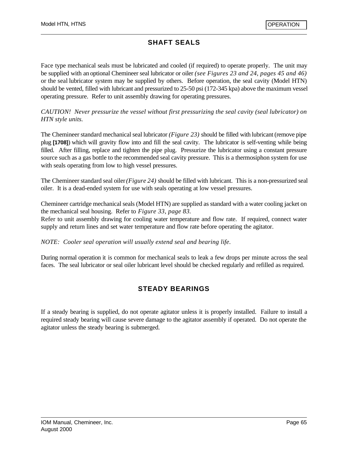# **SHAFT SEALS**

Face type mechanical seals must be lubricated and cooled (if required) to operate properly. The unit may be supplied with an optional Chemineer seal lubricator or oiler *(see Figures 23 and 24, pages 45 and 46)* or the seal lubricator system may be supplied by others. Before operation, the seal cavity (Model HTN) should be vented, filled with lubricant and pressurized to 25-50 psi (172-345 kpa) above the maximum vessel operating pressure. Refer to unit assembly drawing for operating pressures.

*CAUTION! Never pressurize the vessel without first pressurizing the seal cavity (seal lubricator) on HTN style units.*

The Chemineer standard mechanical seal lubricator *(Figure 23)* should be filled with lubricant (remove pipe plug **[1708]**) which will gravity flow into and fill the seal cavity. The lubricator is self-venting while being filled. After filling, replace and tighten the pipe plug. Pressurize the lubricator using a constant pressure source such as a gas bottle to the recommended seal cavity pressure. This is a thermosiphon system for use with seals operating from low to high vessel pressures.

The Chemineer standard seal oiler *(Figure 24)* should be filled with lubricant. This is a non-pressurized seal oiler. It is a dead-ended system for use with seals operating at low vessel pressures.

Chemineer cartridge mechanical seals (Model HTN) are supplied as standard with a water cooling jacket on the mechanical seal housing. Refer to *Figure 33, page 83.*

Refer to unit assembly drawing for cooling water temperature and flow rate. If required, connect water supply and return lines and set water temperature and flow rate before operating the agitator.

*NOTE: Cooler seal operation will usually extend seal and bearing life.*

During normal operation it is common for mechanical seals to leak a few drops per minute across the seal faces. The seal lubricator or seal oiler lubricant level should be checked regularly and refilled as required.

### **STEADY BEARINGS**

If a steady bearing is supplied, do not operate agitator unless it is properly installed. Failure to install a required steady bearing will cause severe damage to the agitator assembly if operated. Do not operate the agitator unless the steady bearing is submerged.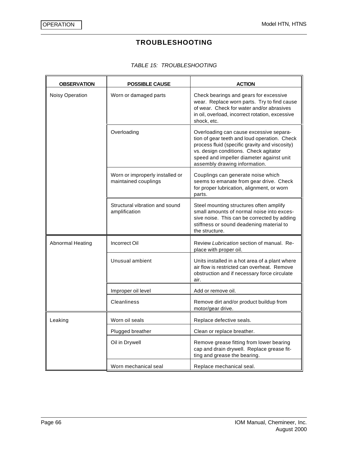# **TROUBLESHOOTING**

#### *TABLE 15: TROUBLESHOOTING*

| <b>OBSERVATION</b>      | <b>POSSIBLE CAUSE</b>                                   | <b>ACTION</b>                                                                                                                                                                                                                                                   |  |
|-------------------------|---------------------------------------------------------|-----------------------------------------------------------------------------------------------------------------------------------------------------------------------------------------------------------------------------------------------------------------|--|
| Noisy Operation         | Worn or damaged parts                                   | Check bearings and gears for excessive<br>wear. Replace worn parts. Try to find cause<br>of wear. Check for water and/or abrasives<br>in oil, overload, incorrect rotation, excessive<br>shock, etc.                                                            |  |
|                         | Overloading                                             | Overloading can cause excessive separa-<br>tion of gear teeth and loud operation. Check<br>process fluid (specific gravity and viscosity)<br>vs. design conditions. Check agitator<br>speed and impeller diameter against unit<br>assembly drawing information. |  |
|                         | Worn or improperly installed or<br>maintained couplings | Couplings can generate noise which<br>seems to emanate from gear drive. Check<br>for proper lubrication, alignment, or worn<br>parts.                                                                                                                           |  |
|                         | Structural vibration and sound<br>amplification         | Steel mounting structures often amplify<br>small amounts of normal noise into exces-<br>sive noise. This can be corrected by adding<br>stiffness or sound deadening material to<br>the structure.                                                               |  |
| <b>Abnormal Heating</b> | <b>Incorrect Oil</b>                                    | Review Lubrication section of manual. Re-<br>place with proper oil.                                                                                                                                                                                             |  |
|                         | Unusual ambient                                         | Units installed in a hot area of a plant where<br>air flow is restricted can overheat. Remove<br>obstruction and if necessary force circulate<br>air.                                                                                                           |  |
|                         | Improper oil level                                      | Add or remove oil.                                                                                                                                                                                                                                              |  |
|                         | <b>Cleanliness</b>                                      | Remove dirt and/or product buildup from<br>motor/gear drive.                                                                                                                                                                                                    |  |
| Leaking                 | Worn oil seals                                          | Replace defective seals.                                                                                                                                                                                                                                        |  |
|                         | Plugged breather                                        | Clean or replace breather.                                                                                                                                                                                                                                      |  |
|                         | Oil in Drywell                                          | Remove grease fitting from lower bearing<br>cap and drain drywell. Replace grease fit-<br>ting and grease the bearing.                                                                                                                                          |  |
|                         | Worn mechanical seal                                    | Replace mechanical seal.                                                                                                                                                                                                                                        |  |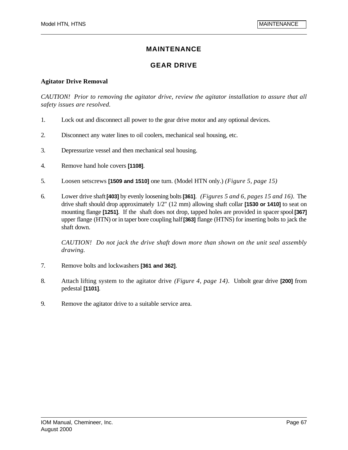# **MAINTENANCE**

# **GEAR DRIVE**

### **Agitator Drive Removal**

*CAUTION! Prior to removing the agitator drive, review the agitator installation to assure that all safety issues are resolved.*

- 1. Lock out and disconnect all power to the gear drive motor and any optional devices.
- 2. Disconnect any water lines to oil coolers, mechanical seal housing, etc.
- 3. Depressurize vessel and then mechanical seal housing.
- 4. Remove hand hole covers **[1108]**.
- 5. Loosen setscrews **[1509 and 1510]** one turn. (Model HTN only.) *(Figure 5, page 15)*
- 6. Lower drive shaft **[403]** by evenly loosening bolts **[361]**. *(Figures 5 and 6, pages 15 and 16).* The drive shaft should drop approximately 1/2" (12 mm) allowing shaft collar **[1530 or 1410]** to seat on mounting flange **[1251]**. If the shaft does not drop, tapped holes are provided in spacer spool **[367]** upper flange (HTN) or in taper bore coupling half **[363]** flange (HTNS) for inserting bolts to jack the shaft down.

*CAUTION! Do not jack the drive shaft down more than shown on the unit seal assembly drawing.*

- 7. Remove bolts and lockwashers **[361 and 362]**.
- 8. Attach lifting system to the agitator drive *(Figure 4, page 14)*. Unbolt gear drive **[200]** from pedestal **[1101]**.
- 9. Remove the agitator drive to a suitable service area.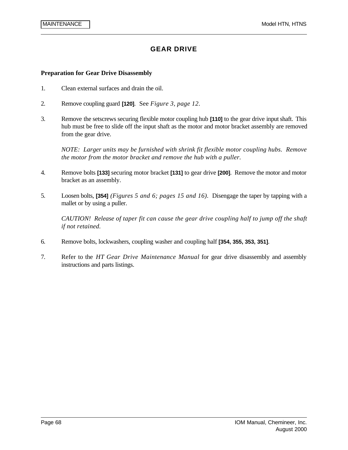# **GEAR DRIVE**

#### **Preparation for Gear Drive Disassembly**

- 1. Clean external surfaces and drain the oil.
- 2. Remove coupling guard **[120]**. See *Figure 3, page 12*.
- 3. Remove the setscrews securing flexible motor coupling hub **[110]** to the gear drive input shaft. This hub must be free to slide off the input shaft as the motor and motor bracket assembly are removed from the gear drive.

*NOTE: Larger units may be furnished with shrink fit flexible motor coupling hubs. Remove the motor from the motor bracket and remove the hub with a puller.*

- 4. Remove bolts **[133]** securing motor bracket **[131]** to gear drive **[200]**. Remove the motor and motor bracket as an assembly.
- 5. Loosen bolts, **[354]** *(Figures 5 and 6; pages 15 and 16).* Disengage the taper by tapping with a mallet or by using a puller.

*CAUTION! Release of taper fit can cause the gear drive coupling half to jump off the shaft if not retained.*

- 6. Remove bolts, lockwashers, coupling washer and coupling half **[354, 355, 353, 351]**.
- 7. Refer to the *HT Gear Drive Maintenance Manual* for gear drive disassembly and assembly instructions and parts listings.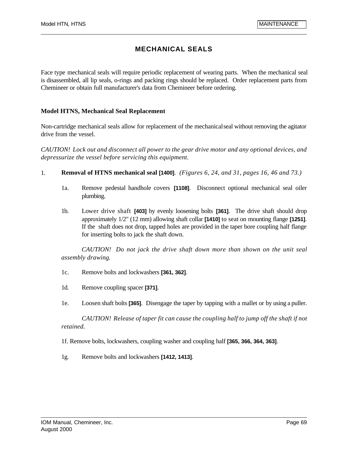Face type mechanical seals will require periodic replacement of wearing parts. When the mechanical seal is disassembled, all lip seals, o-rings and packing rings should be replaced. Order replacement parts from Chemineer or obtain full manufacturer's data from Chemineer before ordering.

#### **Model HTNS, Mechanical Seal Replacement**

Non-cartridge mechanical seals allow for replacement of the mechanical seal without removing the agitator drive from the vessel.

*CAUTION! Lock out and disconnect all power to the gear drive motor and any optional devices, and depressurize the vessel before servicing this equipment.*

- 1. **Removal of HTNS mechanical seal [1400]**. *(Figures 6, 24, and 31, pages 16, 46 and 73.)*
	- 1a. Remove pedestal handhole covers **[1108]**. Disconnect optional mechanical seal oiler plumbing.
	- 1b. Lower drive shaft **[403]** by evenly loosening bolts **[361]**. The drive shaft should drop approximately 1/2" (12 mm) allowing shaft collar **[1410]** to seat on mounting flange **[1251]**. If the shaft does not drop, tapped holes are provided in the taper bore coupling half flange for inserting bolts to jack the shaft down.

*CAUTION! Do not jack the drive shaft down more than shown on the unit seal assembly drawing.*

- 1c. Remove bolts and lockwashers **[361, 362]**.
- 1d. Remove coupling spacer **[371]**.
- 1e. Loosen shaft bolts **[365]**. Disengage the taper by tapping with a mallet or by using a puller.

*CAUTION! Release of taper fit can cause the coupling half to jump off the shaft if not retained.*

1f. Remove bolts, lockwashers, coupling washer and coupling half **[365, 366, 364, 363]**.

1g. Remove bolts and lockwashers **[1412, 1413]**.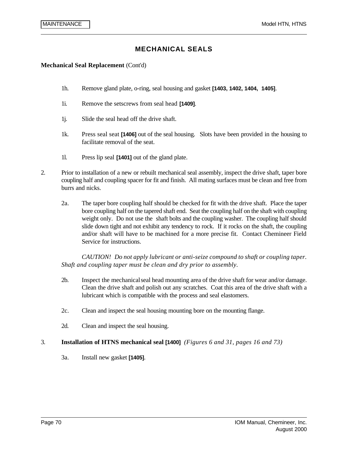#### **Mechanical Seal Replacement** (Cont'd)

- 1h. Remove gland plate, o-ring, seal housing and gasket **[1403, 1402, 1404, 1405]**.
- 1i. Remove the setscrews from seal head **[1409]**.
- 1j. Slide the seal head off the drive shaft.
- 1k. Press seal seat **[1406]** out of the seal housing. Slots have been provided in the housing to facilitate removal of the seat.
- 1l. Press lip seal **[1401]** out of the gland plate.
- 2. Prior to installation of a new or rebuilt mechanical seal assembly, inspect the drive shaft, taper bore coupling half and coupling spacer for fit and finish. All mating surfaces must be clean and free from burrs and nicks.
	- 2a. The taper bore coupling half should be checked for fit with the drive shaft. Place the taper bore coupling half on the tapered shaft end. Seat the coupling half on the shaft with coupling weight only. Do not use the shaft bolts and the coupling washer. The coupling half should slide down tight and not exhibit any tendency to rock. If it rocks on the shaft, the coupling and/or shaft will have to be machined for a more precise fit. Contact Chemineer Field Service for instructions.

*CAUTION! Do not apply lubricant or anti-seize compound to shaft or coupling taper. Shaft and coupling taper must be clean and dry prior to assembly.*

- 2b. Inspect the mechanical seal head mounting area of the drive shaft for wear and/or damage. Clean the drive shaft and polish out any scratches. Coat this area of the drive shaft with a lubricant which is compatible with the process and seal elastomers.
- 2c. Clean and inspect the seal housing mounting bore on the mounting flange.
- 2d. Clean and inspect the seal housing.

#### 3. **Installation of HTNS mechanical seal [1400]** *(Figures 6 and 31, pages 16 and 73)*

3a. Install new gasket **[1405]**.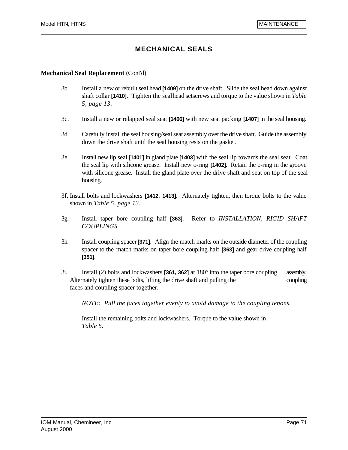#### **Mechanical Seal Replacement** (Cont'd)

- 3b. Install a new or rebuilt seal head **[1409]** on the drive shaft. Slide the seal head down against shaft collar **[1410]**. Tighten the seal head setscrews and torque to the value shown in *Table 5, page 13*.
- 3c. Install a new or relapped seal seat **[1406]** with new seat packing **[1407]** in the seal housing.
- 3d. Carefully install the seal housing/seal seat assembly over the drive shaft. Guide the assembly down the drive shaft until the seal housing rests on the gasket.
- 3e. Install new lip seal **[1401]** in gland plate **[1403]** with the seal lip towards the seal seat. Coat the seal lip with silicone grease. Install new o-ring **[1402]**. Retain the o-ring in the groove with silicone grease. Install the gland plate over the drive shaft and seat on top of the seal housing.
- 3f. Install bolts and lockwashers **[1412, 1413]**. Alternately tighten, then torque bolts to the value shown in *Table 5, page 13*.
- 3g. Install taper bore coupling half **[363]**. Refer to *INSTALLATION, RIGID SHAFT COUPLINGS.*
- 3h. Install coupling spacer **[371]**. Align the match marks on the outside diameter of the coupling spacer to the match marks on taper bore coupling half **[363]** and gear drive coupling half **[351]**.
- 3i. Install (2) bolts and lockwashers **[361, 362]** at 180<sup>°</sup> into the taper bore coupling assembly. Alternately tighten these bolts, lifting the drive shaft and pulling the coupling faces and coupling spacer together.

*NOTE: Pull the faces together evenly to avoid damage to the coupling tenons.*

Install the remaining bolts and lockwashers. Torque to the value shown in  *Table 5*.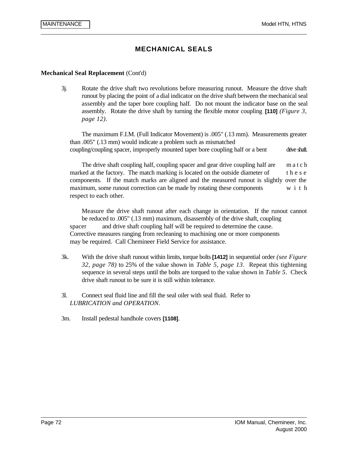#### **Mechanical Seal Replacement** (Cont'd)

3j. Rotate the drive shaft two revolutions before measuring runout. Measure the drive shaft runout by placing the point of a dial indicator on the drive shaft between the mechanical seal assembly and the taper bore coupling half. Do not mount the indicator base on the seal assembly. Rotate the drive shaft by turning the flexible motor coupling **[110]** *(Figure 3, page 12)*.

The maximum F.I.M. (Full Indicator Movement) is .005" (.13 mm). Measurements greater than .005" (.13 mm) would indicate a problem such as mismatched coupling/coupling spacer, improperly mounted taper bore coupling half or a bent drive shaft.

The drive shaft coupling half, coupling spacer and gear drive coupling half are match marked at the factory. The match marking is located on the outside diameter of  $t \, h \, e \, s \, e$ components. If the match marks are aligned and the measured runout is slightly over the maximum, some runout correction can be made by rotating these components  $w_i$  it h respect to each other.

Measure the drive shaft runout after each change in orientation. If the runout cannot be reduced to .005" (.13 mm) maximum, disassembly of the drive shaft, coupling spacer and drive shaft coupling half will be required to determine the cause. Corrective measures ranging from recleaning to machining one or more components may be required. Call Chemineer Field Service for assistance.

- 3k. With the drive shaft runout within limits, torque bolts **[1412]** in sequential order *(see Figure 32, page 78)* to 25% of the value shown in *Table 5, page 13*. Repeat this tightening sequence in several steps until the bolts are torqued to the value shown in *Table 5*. Check drive shaft runout to be sure it is still within tolerance.
- 3l. Connect seal fluid line and fill the seal oiler with seal fluid. Refer to *LUBRICATION and OPERATION*.
- 3m. Install pedestal handhole covers **[1108]**.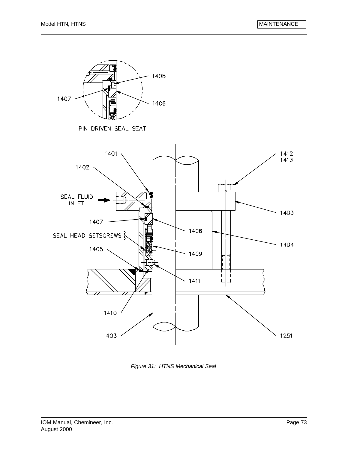

*Figure 31: HTNS Mechanical Seal*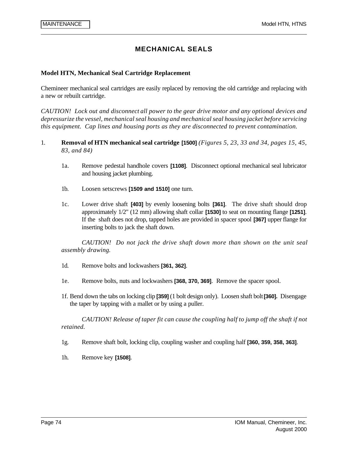#### **Model HTN, Mechanical Seal Cartridge Replacement**

Chemineer mechanical seal cartridges are easily replaced by removing the old cartridge and replacing with a new or rebuilt cartridge.

*CAUTION! Lock out and disconnect all power to the gear drive motor and any optional devices and depressurize the vessel, mechanical seal housing and mechanical seal housing jacket before servicing this equipment. Cap lines and housing ports as they are disconnected to prevent contamination.*

- 1. **Removal of HTN mechanical seal cartridge [1500]** *(Figures 5, 23, 33 and 34, pages 15, 45, 83, and 84)*
	- 1a. Remove pedestal handhole covers **[1108]**. Disconnect optional mechanical seal lubricator and housing jacket plumbing.
	- 1b. Loosen setscrews **[1509 and 1510]** one turn.
	- 1c. Lower drive shaft **[403]** by evenly loosening bolts **[361]**. The drive shaft should drop approximately 1/2" (12 mm) allowing shaft collar **[1530]** to seat on mounting flange **[1251]**. If the shaft does not drop, tapped holes are provided in spacer spool **[367]** upper flange for inserting bolts to jack the shaft down.

*CAUTION! Do not jack the drive shaft down more than shown on the unit seal assembly drawing.*

- 1d. Remove bolts and lockwashers **[361, 362]**.
- 1e. Remove bolts, nuts and lockwashers **[368, 370, 369]**. Remove the spacer spool.
- 1f. Bend down the tabs on locking clip **[359]** (1 bolt design only). Loosen shaft bolt **[360].** Disengage the taper by tapping with a mallet or by using a puller.

*CAUTION! Release of taper fit can cause the coupling half to jump off the shaft if not retained.*

- 1g. Remove shaft bolt, locking clip, coupling washer and coupling half **[360, 359, 358, 363]**.
- 1h. Remove key **[1508]**.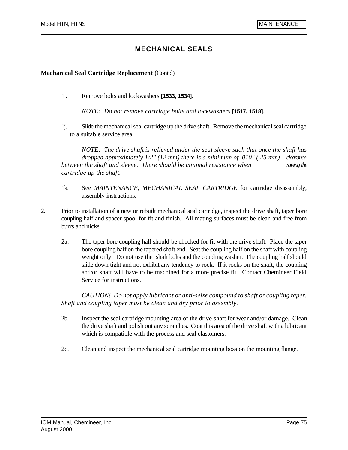#### **Mechanical Seal Cartridge Replacement** (Cont'd)

1i. Remove bolts and lockwashers **[1533, 1534]**.

*NOTE: Do not remove cartridge bolts and lockwashers* **[1517, 1518]**.

1j. Slide the mechanical seal cartridge up the drive shaft. Remove the mechanical seal cartridge to a suitable service area.

*NOTE: The drive shaft is relieved under the seal sleeve such that once the shaft has dropped approximately 1/2" (12 mm) there is a minimum of .010" (.25 mm) clearance between the shaft and sleeve. There should be minimal resistance when raising the cartridge up the shaft.*

- 1k. See *MAINTENANCE, MECHANICAL SEAL CARTRIDGE* for cartridge disassembly, assembly instructions.
- 2. Prior to installation of a new or rebuilt mechanical seal cartridge, inspect the drive shaft, taper bore coupling half and spacer spool for fit and finish. All mating surfaces must be clean and free from burrs and nicks.
	- 2a. The taper bore coupling half should be checked for fit with the drive shaft. Place the taper bore coupling half on the tapered shaft end. Seat the coupling half on the shaft with coupling weight only. Do not use the shaft bolts and the coupling washer. The coupling half should slide down tight and not exhibit any tendency to rock. If it rocks on the shaft, the coupling and/or shaft will have to be machined for a more precise fit. Contact Chemineer Field Service for instructions.

*CAUTION! Do not apply lubricant or anti-seize compound to shaft or coupling taper. Shaft and coupling taper must be clean and dry prior to assembly.*

- 2b. Inspect the seal cartridge mounting area of the drive shaft for wear and/or damage. Clean the drive shaft and polish out any scratches. Coat this area of the drive shaft with a lubricant which is compatible with the process and seal elastomers.
- 2c. Clean and inspect the mechanical seal cartridge mounting boss on the mounting flange.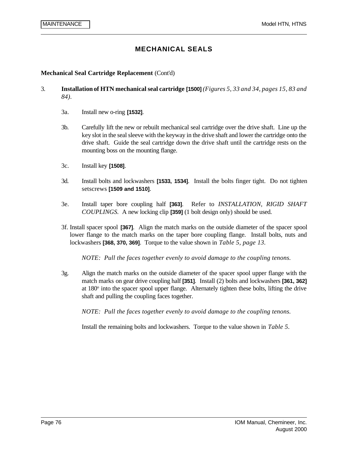#### **Mechanical Seal Cartridge Replacement** (Cont'd)

- 3. **Installation of HTN mechanical seal cartridge [1500]** *(Figures 5, 33 and 34, pages 15, 83 and 84).* 
	- 3a. Install new o-ring **[1532]**.
	- 3b. Carefully lift the new or rebuilt mechanical seal cartridge over the drive shaft. Line up the key slot in the seal sleeve with the keyway in the drive shaft and lower the cartridge onto the drive shaft. Guide the seal cartridge down the drive shaft until the cartridge rests on the mounting boss on the mounting flange.
	- 3c. Install key **[1508]**.
	- 3d. Install bolts and lockwashers **[1533, 1534]**. Install the bolts finger tight. Do not tighten setscrews **[1509 and 1510]**.
	- 3e. Install taper bore coupling half **[363]**. Refer to *INSTALLATION, RIGID SHAFT COUPLINGS.* A new locking clip **[359]** (1 bolt design only) should be used.
	- 3f. Install spacer spool **[367]**. Align the match marks on the outside diameter of the spacer spool lower flange to the match marks on the taper bore coupling flange. Install bolts, nuts and lockwashers **[368, 370, 369]**. Torque to the value shown in *Table 5, page 13.*

*NOTE: Pull the faces together evenly to avoid damage to the coupling tenons.*

3g. Align the match marks on the outside diameter of the spacer spool upper flange with the match marks on gear drive coupling half **[351]**. Install (2) bolts and lockwashers **[361, 362]** at 180<sup>o</sup> into the spacer spool upper flange. Alternately tighten these bolts, lifting the drive shaft and pulling the coupling faces together.

*NOTE: Pull the faces together evenly to avoid damage to the coupling tenons.*

Install the remaining bolts and lockwashers. Torque to the value shown in *Table 5*.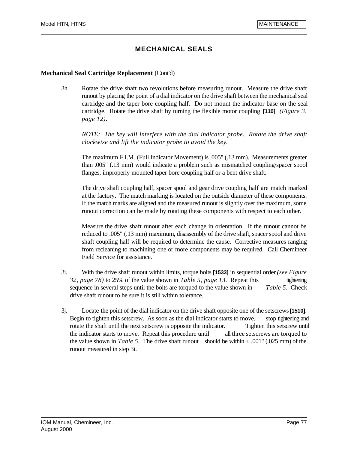#### **Mechanical Seal Cartridge Replacement** (Cont'd)

3h. Rotate the drive shaft two revolutions before measuring runout. Measure the drive shaft runout by placing the point of a dial indicator on the drive shaft between the mechanical seal cartridge and the taper bore coupling half. Do not mount the indicator base on the seal cartridge. Rotate the drive shaft by turning the flexible motor coupling **[110]** *(Figure 3, page 12)*.

*NOTE: The key will interfere with the dial indicator probe. Rotate the drive shaft clockwise and lift the indicator probe to avoid the key.*

The maximum F.I.M. (Full Indicator Movement) is .005" (.13 mm). Measurements greater than .005" (.13 mm) would indicate a problem such as mismatched coupling/spacer spool flanges, improperly mounted taper bore coupling half or a bent drive shaft.

The drive shaft coupling half, spacer spool and gear drive coupling half are match marked at the factory. The match marking is located on the outside diameter of these components. If the match marks are aligned and the measured runout is slightly over the maximum, some runout correction can be made by rotating these components with respect to each other.

Measure the drive shaft runout after each change in orientation. If the runout cannot be reduced to .005" (.13 mm) maximum, disassembly of the drive shaft, spacer spool and drive shaft coupling half will be required to determine the cause. Corrective measures ranging from recleaning to machining one or more components may be required. Call Chemineer Field Service for assistance.

- 3i. With the drive shaft runout within limits, torque bolts **[1533]** in sequential order *(see Figure 32, page 78)* to 25% of the value shown in *Table 5, page 13*. Repeat this tightening sequence in several steps until the bolts are torqued to the value shown in *Table 5*. Check drive shaft runout to be sure it is still within tolerance.
- 3j. Locate the point of the dial indicator on the drive shaft opposite one of the setscrews **[1510]**. Begin to tighten this setscrew. As soon as the dial indicator starts to move, stop tightening and rotate the shaft until the next setscrew is opposite the indicator. Tighten this setscrew until the indicator starts to move. Repeat this procedure until all three setscrews are torqued to the value shown in *Table 5*. The drive shaft runout should be within  $\pm .001$ " (.025 mm) of the runout measured in step 3i.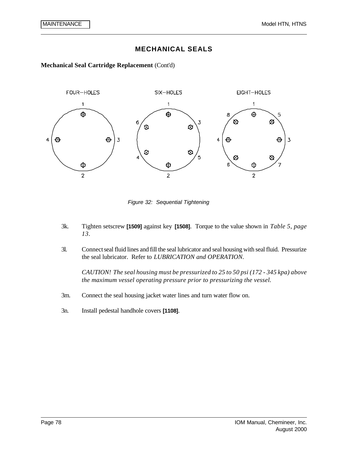**Mechanical Seal Cartridge Replacement** (Cont'd)



*Figure 32: Sequential Tightening*

- 3k. Tighten setscrew **[1509]** against key **[1508]**. Torque to the value shown in *Table 5, page 13*.
- 3l. Connect seal fluid lines and fill the seal lubricator and seal housing with seal fluid. Pressurize the seal lubricator. Refer to *LUBRICATION and OPERATION*.

*CAUTION! The seal housing must be pressurized to 25 to 50 psi (172 - 345 kpa) above the maximum vessel operating pressure prior to pressurizing the vessel.*

- 3m. Connect the seal housing jacket water lines and turn water flow on.
- 3n. Install pedestal handhole covers **[1108]**.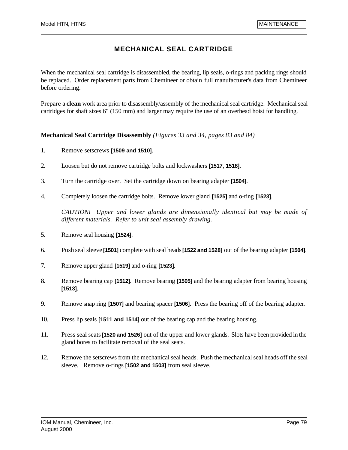When the mechanical seal cartridge is disassembled, the bearing, lip seals, o-rings and packing rings should be replaced. Order replacement parts from Chemineer or obtain full manufacturer's data from Chemineer before ordering.

Prepare a **clean** work area prior to disassembly/assembly of the mechanical seal cartridge. Mechanical seal cartridges for shaft sizes 6" (150 mm) and larger may require the use of an overhead hoist for handling.

### **Mechanical Seal Cartridge Disassembly** *(Figures 33 and 34, pages 83 and 84)*

- 1. Remove setscrews **[1509 and 1510]**.
- 2. Loosen but do not remove cartridge bolts and lockwashers **[1517, 1518]**.
- 3. Turn the cartridge over. Set the cartridge down on bearing adapter **[1504]**.
- 4. Completely loosen the cartridge bolts. Remove lower gland **[1525]** and o-ring **[1523]**.

*CAUTION! Upper and lower glands are dimensionally identical but may be made of different materials. Refer to unit seal assembly drawing.*

- 5. Remove seal housing **[1524]**.
- 6. Push seal sleeve **[1501]** complete with seal heads **[1522 and 1528]** out of the bearing adapter **[1504]**.
- 7. Remove upper gland **[1519]** and o-ring **[1523]**.
- 8. Remove bearing cap **[1512]**. Remove bearing **[1505]** and the bearing adapter from bearing housing **[1513]**.
- 9. Remove snap ring **[1507]** and bearing spacer **[1506]**. Press the bearing off of the bearing adapter.
- 10. Press lip seals **[1511 and 1514]** out of the bearing cap and the bearing housing.
- 11. Press seal seats **[1520 and 1526]** out of the upper and lower glands. Slots have been provided in the gland bores to facilitate removal of the seal seats.
- 12. Remove the setscrews from the mechanical seal heads. Push the mechanical seal heads off the seal sleeve. Remove o-rings **[1502 and 1503]** from seal sleeve.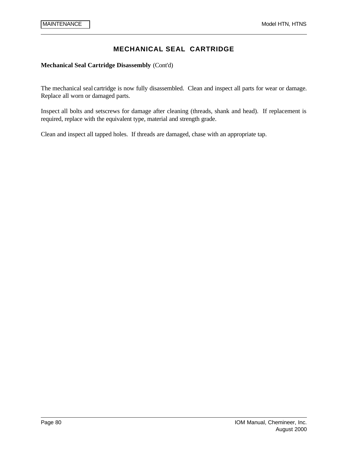**Mechanical Seal Cartridge Disassembly** (Cont'd)

The mechanical seal cartridge is now fully disassembled. Clean and inspect all parts for wear or damage. Replace all worn or damaged parts.

Inspect all bolts and setscrews for damage after cleaning (threads, shank and head). If replacement is required, replace with the equivalent type, material and strength grade.

Clean and inspect all tapped holes. If threads are damaged, chase with an appropriate tap.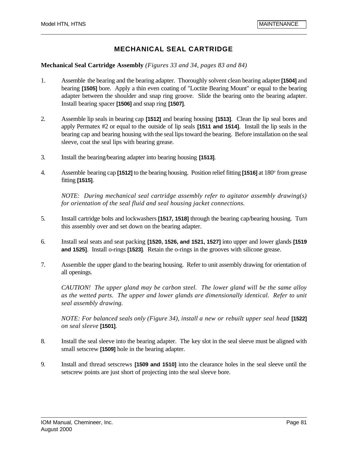#### **Mechanical Seal Cartridge Assembly** *(Figures 33 and 34, pages 83 and 84)*

- 1. Assemble the bearing and the bearing adapter. Thoroughly solvent clean bearing adapter **[1504]** and bearing **[1505]** bore. Apply a thin even coating of "Loctite Bearing Mount" or equal to the bearing adapter between the shoulder and snap ring groove. Slide the bearing onto the bearing adapter. Install bearing spacer **[1506]** and snap ring **[1507]**.
- 2. Assemble lip seals in bearing cap **[1512]** and bearing housing **[1513]**. Clean the lip seal bores and apply Permatex #2 or equal to the outside of lip seals **[1511 and 1514]**. Install the lip seals in the bearing cap and bearing housing with the seal lips toward the bearing. Before installation on the seal sleeve, coat the seal lips with bearing grease.
- 3. Install the bearing/bearing adapter into bearing housing **[1513]**.
- 4. Assemble bearing cap [1512] to the bearing housing. Position relief fitting [1516] at 180<sup>°</sup> from grease fitting **[1515]**.

*NOTE: During mechanical seal cartridge assembly refer to agitator assembly drawing(s) for orientation of the seal fluid and seal housing jacket connections.*

- 5. Install cartridge bolts and lockwashers **[1517, 1518]** through the bearing cap/bearing housing. Turn this assembly over and set down on the bearing adapter.
- 6. Install seal seats and seat packing **[1520, 1526, and 1521, 1527]** into upper and lower glands **[1519 and 1525]**. Install o-rings **[1523]**. Retain the o-rings in the grooves with silicone grease.
- 7. Assemble the upper gland to the bearing housing. Refer to unit assembly drawing for orientation of all openings.

*CAUTION! The upper gland may be carbon steel. The lower gland will be the same alloy as the wetted parts. The upper and lower glands are dimensionally identical. Refer to unit seal assembly drawing.*

*NOTE: For balanced seals only (Figure 34), install a new or rebuilt upper seal head* **[1522]** *on seal sleeve* **[1501]**.

- 8. Install the seal sleeve into the bearing adapter. The key slot in the seal sleeve must be aligned with small setscrew **[1509]** hole in the bearing adapter.
- 9. Install and thread setscrews **[1509 and 1510]** into the clearance holes in the seal sleeve until the setscrew points are just short of projecting into the seal sleeve bore.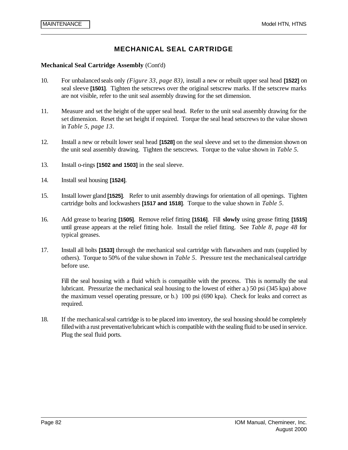#### **Mechanical Seal Cartridge Assembly** (Cont'd)

- 10. For unbalanced seals only *(Figure 33, page 83),* install a new or rebuilt upper seal head **[1522]** on seal sleeve **[1501]**. Tighten the setscrews over the original setscrew marks. If the setscrew marks are not visible, refer to the unit seal assembly drawing for the set dimension.
- 11. Measure and set the height of the upper seal head. Refer to the unit seal assembly drawing for the set dimension. Reset the set height if required. Torque the seal head setscrews to the value shown in *Table 5, page 13*.
- 12. Install a new or rebuilt lower seal head **[1528]** on the seal sleeve and set to the dimension shown on the unit seal assembly drawing. Tighten the setscrews. Torque to the value shown in *Table 5.*
- 13. Install o-rings **[1502 and 1503]** in the seal sleeve.
- 14. Install seal housing **[1524]**.
- 15. Install lower gland **[1525]**. Refer to unit assembly drawings for orientation of all openings. Tighten cartridge bolts and lockwashers **[1517 and 1518]**. Torque to the value shown in *Table 5*.
- 16. Add grease to bearing **[1505]**. Remove relief fitting **[1516]**. Fill **slowly** using grease fitting **[1515]** until grease appears at the relief fitting hole. Install the relief fitting. See *Table 8, page 48* for typical greases.
- 17. Install all bolts **[1533]** through the mechanical seal cartridge with flatwashers and nuts (supplied by others). Torque to 50% of the value shown in *Table 5*. Pressure test the mechanical seal cartridge before use.

Fill the seal housing with a fluid which is compatible with the process. This is normally the seal lubricant. Pressurize the mechanical seal housing to the lowest of either a.) 50 psi (345 kpa) above the maximum vessel operating pressure, or b.) 100 psi (690 kpa). Check for leaks and correct as required.

18. If the mechanical seal cartridge is to be placed into inventory, the seal housing should be completely filled with a rust preventative/lubricant which is compatible with the sealing fluid to be used in service. Plug the seal fluid ports.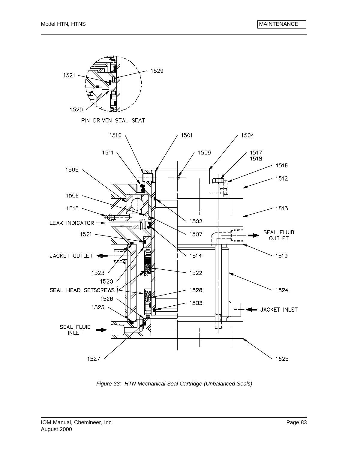

*Figure 33: HTN Mechanical Seal Cartridge (Unbalanced Seals)*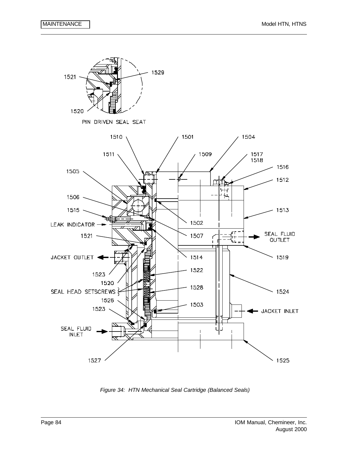

*Figure 34: HTN Mechanical Seal Cartridge (Balanced Seals)*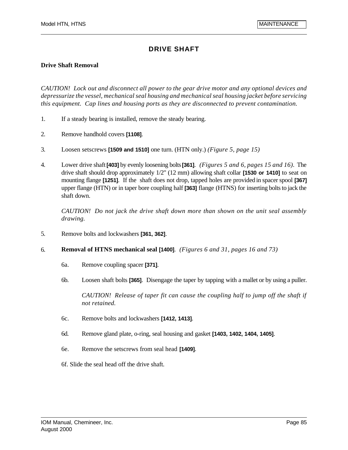#### **Drive Shaft Removal**

*CAUTION! Lock out and disconnect all power to the gear drive motor and any optional devices and depressurize the vessel, mechanical seal housing and mechanical seal housing jacket before servicing this equipment. Cap lines and housing ports as they are disconnected to prevent contamination.*

- 1. If a steady bearing is installed, remove the steady bearing.
- 2. Remove handhold covers **[1108]**.
- 3. Loosen setscrews **[1509 and 1510]** one turn. (HTN only.) *(Figure 5, page 15)*
- 4. Lower drive shaft **[403]** by evenly loosening bolts **[361]**. *(Figures 5 and 6, pages 15 and 16).* The drive shaft should drop approximately 1/2" (12 mm) allowing shaft collar **[1530 or 1410]** to seat on mounting flange **[1251]**. If the shaft does not drop, tapped holes are provided in spacer spool **[367]** upper flange (HTN) or in taper bore coupling half **[363]** flange (HTNS) for inserting bolts to jack the shaft down.

*CAUTION! Do not jack the drive shaft down more than shown on the unit seal assembly drawing.*

- 5. Remove bolts and lockwashers **[361, 362]**.
- 6. **Removal of HTNS mechanical seal [1400]**. *(Figures 6 and 31, pages 16 and 73)*
	- 6a. Remove coupling spacer **[371]**.
	- 6b. Loosen shaft bolts **[365]**. Disengage the taper by tapping with a mallet or by using a puller.

*CAUTION! Release of taper fit can cause the coupling half to jump off the shaft if not retained.*

- 6c. Remove bolts and lockwashers **[1412, 1413]**.
- 6d. Remove gland plate, o-ring, seal housing and gasket **[1403, 1402, 1404, 1405]**.
- 6e. Remove the setscrews from seal head **[1409]**.
- 6f. Slide the seal head off the drive shaft.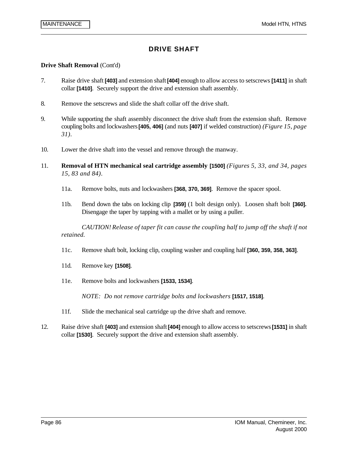#### **Drive Shaft Removal** (Cont'd)

- 7. Raise drive shaft **[403]** and extension shaft **[404]** enough to allow access to setscrews **[1411]** in shaft collar **[1410]**. Securely support the drive and extension shaft assembly.
- 8. Remove the setscrews and slide the shaft collar off the drive shaft.
- 9. While supporting the shaft assembly disconnect the drive shaft from the extension shaft. Remove coupling bolts and lockwashers **[405, 406]** (and nuts **[407]** if welded construction) *(Figure 15, page 31)*.
- 10. Lower the drive shaft into the vessel and remove through the manway.
- 11. **Removal of HTN mechanical seal cartridge assembly [1500]** *(Figures 5, 33, and 34, pages 15, 83 and 84)*.
	- 11a. Remove bolts, nuts and lockwashers **[368, 370, 369]**. Remove the spacer spool.
	- 11b. Bend down the tabs on locking clip **[359]** (1 bolt design only). Loosen shaft bolt **[360].** Disengage the taper by tapping with a mallet or by using a puller.

*CAUTION! Release of taper fit can cause the coupling half to jump off the shaft if not retained.*

- 11c. Remove shaft bolt, locking clip, coupling washer and coupling half **[360, 359, 358, 363]**.
- 11d. Remove key **[1508]**.
- 11e. Remove bolts and lockwashers **[1533, 1534]**.

*NOTE: Do not remove cartridge bolts and lockwashers* **[1517, 1518]**.

- 11f. Slide the mechanical seal cartridge up the drive shaft and remove.
- 12. Raise drive shaft **[403]** and extension shaft **[404]** enough to allow access to setscrews **[1531]** in shaft collar **[1530]**. Securely support the drive and extension shaft assembly.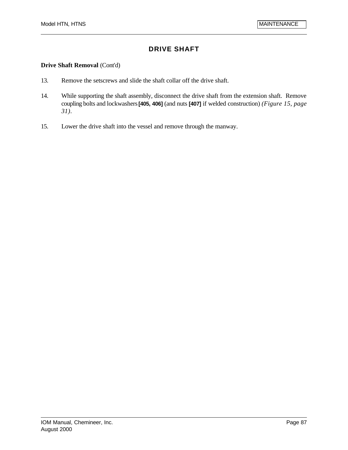#### **Drive Shaft Removal** (Cont'd)

- 13. Remove the setscrews and slide the shaft collar off the drive shaft.
- 14. While supporting the shaft assembly, disconnect the drive shaft from the extension shaft. Remove coupling bolts and lockwashers **[405, 406]** (and nuts **[407]** if welded construction) *(Figure 15, page 31)*.
- 15. Lower the drive shaft into the vessel and remove through the manway.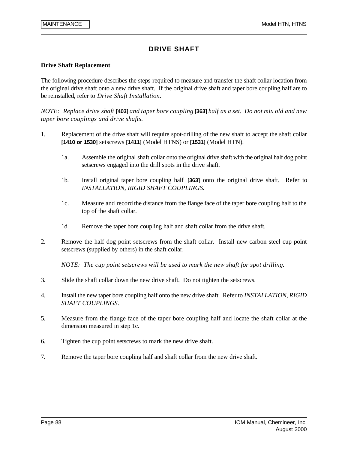#### **Drive Shaft Replacement**

The following procedure describes the steps required to measure and transfer the shaft collar location from the original drive shaft onto a new drive shaft. If the original drive shaft and taper bore coupling half are to be reinstalled, refer to *Drive Shaft Installation.*

*NOTE: Replace drive shaft* **[403]** *and taper bore coupling* **[363]** *half as a set. Do not mix old and new taper bore couplings and drive shafts.*

- 1. Replacement of the drive shaft will require spot-drilling of the new shaft to accept the shaft collar **[1410 or 1530]** setscrews **[1411]** (Model HTNS) or **[1531]** (Model HTN).
	- 1a. Assemble the original shaft collar onto the original drive shaft with the original half dog point setscrews engaged into the drill spots in the drive shaft.
	- 1b. Install original taper bore coupling half **[363]** onto the original drive shaft. Refer to *INSTALLATION, RIGID SHAFT COUPLINGS.*
	- 1c. Measure and record the distance from the flange face of the taper bore coupling half to the top of the shaft collar.
	- 1d. Remove the taper bore coupling half and shaft collar from the drive shaft.
- 2. Remove the half dog point setscrews from the shaft collar. Install new carbon steel cup point setscrews (supplied by others) in the shaft collar.

*NOTE: The cup point setscrews will be used to mark the new shaft for spot drilling.*

- 3. Slide the shaft collar down the new drive shaft. Do not tighten the setscrews.
- 4. Install the new taper bore coupling half onto the new drive shaft. Refer to *INSTALLATION, RIGID SHAFT COUPLINGS*.
- 5. Measure from the flange face of the taper bore coupling half and locate the shaft collar at the dimension measured in step 1c.
- 6. Tighten the cup point setscrews to mark the new drive shaft.
- 7. Remove the taper bore coupling half and shaft collar from the new drive shaft.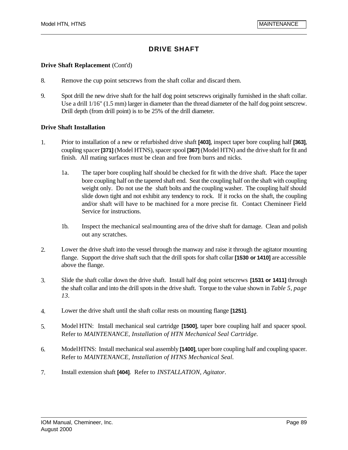### **Drive Shaft Replacement** (Cont'd)

- 8. Remove the cup point setscrews from the shaft collar and discard them.
- 9. Spot drill the new drive shaft for the half dog point setscrews originally furnished in the shaft collar. Use a drill 1/16" (1.5 mm) larger in diameter than the thread diameter of the half dog point setscrew. Drill depth (from drill point) is to be 25% of the drill diameter.

#### **Drive Shaft Installation**

- 1. Prior to installation of a new or refurbished drive shaft **[403]**, inspect taper bore coupling half **[363]**, coupling spacer **[371]** (Model HTNS), spacer spool **[367]** (Model HTN) and the drive shaft for fit and finish. All mating surfaces must be clean and free from burrs and nicks.
	- 1a. The taper bore coupling half should be checked for fit with the drive shaft. Place the taper bore coupling half on the tapered shaft end. Seat the coupling half on the shaft with coupling weight only. Do not use the shaft bolts and the coupling washer. The coupling half should slide down tight and not exhibit any tendency to rock. If it rocks on the shaft, the coupling and/or shaft will have to be machined for a more precise fit. Contact Chemineer Field Service for instructions.
	- 1b. Inspect the mechanical seal mounting area of the drive shaft for damage. Clean and polish out any scratches.
- 2. Lower the drive shaft into the vessel through the manway and raise it through the agitator mounting flange. Support the drive shaft such that the drill spots for shaft collar **[1530 or 1410]** are accessible above the flange.
- 3. Slide the shaft collar down the drive shaft. Install half dog point setscrews **[1531 or 1411]** through the shaft collar and into the drill spots in the drive shaft. Torque to the value shown in *Table 5, page 13.*
- 4. Lower the drive shaft until the shaft collar rests on mounting flange **[1251]**.
- 5. Model HTN: Install mechanical seal cartridge **[1500]**, taper bore coupling half and spacer spool. Refer to *MAINTENANCE, Installation of HTN Mechanical Seal Cartridge.*
- 6. Model HTNS: Install mechanical seal assembly **[1400]**, taper bore coupling half and coupling spacer. Refer to *MAINTENANCE, Installation of HTNS Mechanical Seal.*
- 7. Install extension shaft **[404]**. Refer to *INSTALLATION, Agitator*.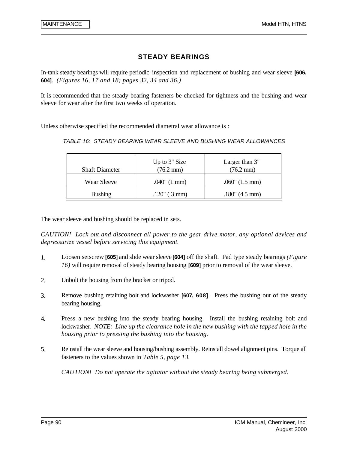### **STEADY BEARINGS**

In-tank steady bearings will require periodic inspection and replacement of bushing and wear sleeve **[606, 604]**. *(Figures 16, 17 and 18; pages 32, 34 and 36.)*

It is recommended that the steady bearing fasteners be checked for tightness and the bushing and wear sleeve for wear after the first two weeks of operation.

Unless otherwise specified the recommended diametral wear allowance is :

|  |  |  |  |  | TABLE 16: STEADY BEARING WEAR SLEEVE AND BUSHING WEAR ALLOWANCES |  |
|--|--|--|--|--|------------------------------------------------------------------|--|
|--|--|--|--|--|------------------------------------------------------------------|--|

| <b>Shaft Diameter</b> | Up to 3" Size<br>$(76.2 \text{ mm})$ | Larger than 3"<br>$(76.2 \text{ mm})$ |
|-----------------------|--------------------------------------|---------------------------------------|
| Wear Sleeve           | $.040$ " (1 mm)                      | $.060$ " $(1.5 \text{ mm})$           |
| <b>Bushing</b>        | $.120$ " (3 mm)                      | $.180^{\circ}$ (4.5 mm)               |

The wear sleeve and bushing should be replaced in sets.

*CAUTION! Lock out and disconnect all power to the gear drive motor, any optional devices and depressurize vessel before servicing this equipment.*

- 1. Loosen setscrew **[605]** and slide wear sleeve **[604]** off the shaft. Pad type steady bearings *(Figure 16)* will require removal of steady bearing housing **[609]** prior to removal of the wear sleeve.
- 2. Unbolt the housing from the bracket or tripod.
- 3. Remove bushing retaining bolt and lockwasher **[607, 608]**. Press the bushing out of the steady bearing housing.
- 4. Press a new bushing into the steady bearing housing. Install the bushing retaining bolt and lockwasher. *NOTE: Line up the clearance hole in the new bushing with the tapped hole in the housing prior to pressing the bushing into the housing.*
- 5. Reinstall the wear sleeve and housing/bushing assembly. Reinstall dowel alignment pins. Torque all fasteners to the values shown in *Table 5, page 13.*

*CAUTION! Do not operate the agitator without the steady bearing being submerged.*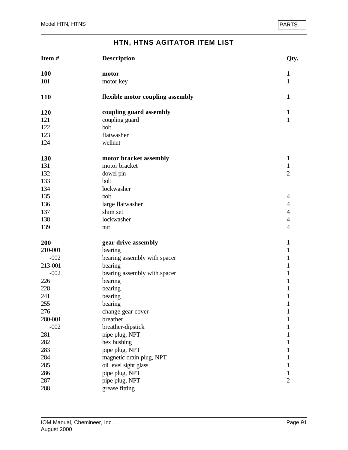| Item#   | <b>Description</b>               | Qty.           |
|---------|----------------------------------|----------------|
| 100     | motor                            | $\mathbf{1}$   |
| 101     | motor key                        | $\mathbf{1}$   |
| 110     | flexible motor coupling assembly | $\mathbf{1}$   |
| 120     | coupling guard assembly          | $\mathbf{1}$   |
| 121     | coupling guard                   | $\mathbf{1}$   |
| 122     | bolt                             |                |
| 123     | flatwasher                       |                |
| 124     | wellnut                          |                |
| 130     | motor bracket assembly           | $\mathbf{1}$   |
| 131     | motor bracket                    | $\mathbf{1}$   |
| 132     | dowel pin                        | $\overline{2}$ |
| 133     | bolt                             |                |
| 134     | lockwasher                       |                |
| 135     | bolt                             | 4              |
| 136     | large flatwasher                 | 4              |
| 137     | shim set                         | 4              |
| 138     | lockwasher                       | 4              |
| 139     | nut                              | $\overline{4}$ |
| 200     | gear drive assembly              | $\mathbf{1}$   |
| 210-001 | bearing                          | $\mathbf{1}$   |
| $-002$  | bearing assembly with spacer     | 1              |
| 213-001 | bearing                          | $\mathbf{1}$   |
| $-002$  | bearing assembly with spacer     | $\mathbf{1}$   |
| 226     | bearing                          | 1              |
| 228     | bearing                          | 1              |
| 241     | bearing                          | $\mathbf 1$    |
| 255     | bearing                          | $\mathbf{1}$   |
| 276     | change gear cover                | $\mathbf{1}$   |
| 280-001 | breather                         | 1              |
| $-002$  | breather-dipstick                | 1              |
| 281     | pipe plug, NPT                   |                |
| 282     | hex bushing                      | 1              |
| 283     | pipe plug, NPT                   | 1              |
| 284     | magnetic drain plug, NPT         | 1              |
| 285     | oil level sight glass            | 1              |
| 286     | pipe plug, NPT                   | $\mathbf{1}$   |
| 287     | pipe plug, NPT                   | $\mathbf{2}$   |
| 288     | grease fitting                   |                |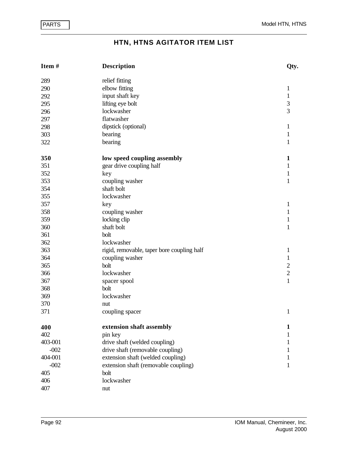| Item#   | <b>Description</b>                         | Qty.           |
|---------|--------------------------------------------|----------------|
| 289     | relief fitting                             |                |
| 290     | elbow fitting                              | 1              |
| 292     | input shaft key                            | $\mathbf{1}$   |
| 295     | lifting eye bolt                           | 3              |
| 296     | lockwasher                                 | $\overline{3}$ |
| 297     | flatwasher                                 |                |
| 298     | dipstick (optional)                        | 1              |
| 303     | bearing                                    | $\mathbf{1}$   |
| 322     | bearing                                    | 1              |
| 350     | low speed coupling assembly                | 1              |
| 351     | gear drive coupling half                   | 1              |
| 352     | key                                        | 1              |
| 353     | coupling washer                            | 1              |
| 354     | shaft bolt                                 |                |
| 355     | lockwasher                                 |                |
| 357     | key                                        | 1              |
| 358     | coupling washer                            | $\mathbf{1}$   |
| 359     | locking clip                               | $\mathbf{1}$   |
| 360     | shaft bolt                                 | $\mathbf{1}$   |
| 361     | bolt                                       |                |
| 362     | lockwasher                                 |                |
| 363     | rigid, removable, taper bore coupling half | $\mathbf{1}$   |
| 364     | coupling washer                            | $\mathbf{1}$   |
| 365     | bolt                                       |                |
| 366     | lockwasher                                 | $\frac{2}{2}$  |
| 367     | spacer spool                               | $\mathbf{1}$   |
| 368     | bolt                                       |                |
| 369     | lockwasher                                 |                |
| 370     | nut                                        |                |
| 371     | coupling spacer                            | 1              |
| 400     | extension shaft assembly                   | 1              |
| 402     | pin key                                    | 1              |
| 403-001 | drive shaft (welded coupling)              | 1              |
| $-002$  | drive shaft (removable coupling)           |                |
| 404-001 | extension shaft (welded coupling)          | 1              |
| $-002$  | extension shaft (removable coupling)       | 1              |
| 405     | bolt                                       |                |
| 406     | lockwasher                                 |                |
| 407     | nut                                        |                |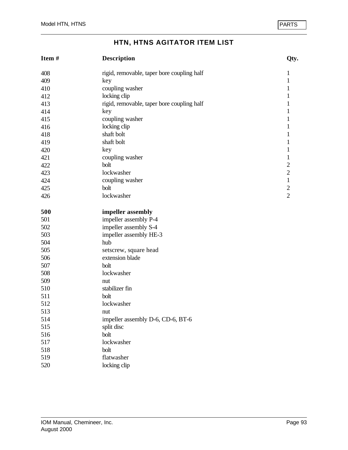| Item# | <b>Description</b>                         | Qty.                                  |
|-------|--------------------------------------------|---------------------------------------|
| 408   | rigid, removable, taper bore coupling half | 1                                     |
| 409   | key                                        | $\mathbf{1}$                          |
| 410   | coupling washer                            | $\mathbf{1}$                          |
| 412   | locking clip                               | $\mathbf{1}$                          |
| 413   | rigid, removable, taper bore coupling half | $\mathbf{1}$                          |
| 414   | key                                        | $\mathbf{1}$                          |
| 415   | coupling washer                            | $\mathbf{1}$                          |
| 416   | locking clip                               | $\mathbf{1}$                          |
| 418   | shaft bolt                                 | $\mathbf{1}$                          |
| 419   | shaft bolt                                 | $\mathbf{1}$                          |
| 420   | key                                        | $\mathbf{1}$                          |
| 421   | coupling washer                            | $\mathbf{1}$                          |
| 422   | bolt                                       | $\overline{c}$                        |
| 423   | lockwasher                                 | $\begin{array}{c} 2 \\ 1 \end{array}$ |
| 424   | coupling washer                            |                                       |
| 425   | bolt                                       | $\overline{c}$                        |
| 426   | lockwasher                                 | $\overline{2}$                        |
| 500   | impeller assembly                          |                                       |
| 501   | impeller assembly P-4                      |                                       |
| 502   | impeller assembly S-4                      |                                       |
| 503   | impeller assembly HE-3                     |                                       |
| 504   | hub                                        |                                       |
| 505   | setscrew, square head                      |                                       |
| 506   | extension blade                            |                                       |
| 507   | bolt                                       |                                       |
| 508   | lockwasher                                 |                                       |
| 509   | nut                                        |                                       |
| 510   | stabilizer fin                             |                                       |
| 511   | bolt                                       |                                       |
| 512   | lockwasher                                 |                                       |
| 513   | nut                                        |                                       |
| 514   | impeller assembly D-6, CD-6, BT-6          |                                       |
| 515   | split disc                                 |                                       |
| 516   | bolt                                       |                                       |
| 517   | lockwasher                                 |                                       |
| 518   | bolt                                       |                                       |
| 519   | flatwasher                                 |                                       |
| 520   | locking clip                               |                                       |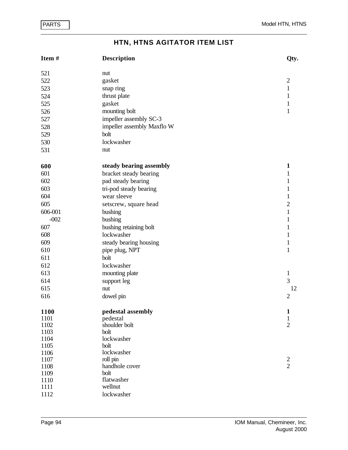| Item#        | <b>Description</b>         | Qty.           |
|--------------|----------------------------|----------------|
| 521          | nut                        |                |
| 522          | gasket                     | $\sqrt{2}$     |
| 523          | snap ring                  | $\,1$          |
| 524          | thrust plate               | $\mathbf{1}$   |
| 525          | gasket                     | $\mathbf{1}$   |
| 526          | mounting bolt              | $\mathbf{1}$   |
| 527          | impeller assembly SC-3     |                |
| 528          | impeller assembly Maxflo W |                |
| 529          | bolt                       |                |
| 530          | lockwasher                 |                |
|              |                            |                |
| 531          | nut                        |                |
| 600          | steady bearing assembly    | $\mathbf{1}$   |
| 601          | bracket steady bearing     | 1              |
| 602          | pad steady bearing         | $\mathbf{1}$   |
| 603          | tri-pod steady bearing     | $\mathbf{1}$   |
| 604          | wear sleeve                | $\mathbf{1}$   |
| 605          | setscrew, square head      | $\overline{c}$ |
| 606-001      | bushing                    | $\mathbf{1}$   |
| $-002$       | bushing                    | $\mathbf{1}$   |
| 607          | bushing retaining bolt     | $\mathbf{1}$   |
| 608          | lockwasher                 | $\mathbf{1}$   |
| 609          | steady bearing housing     | $\mathbf{1}$   |
| 610          | pipe plug, NPT             | $\mathbf{1}$   |
| 611          | bolt                       |                |
| 612          | lockwasher                 |                |
| 613          | mounting plate             | $\mathbf{1}$   |
| 614          |                            | 3              |
|              | support leg                |                |
| 615          | nut                        | 12             |
| 616          | dowel pin                  | $\overline{2}$ |
| 1100         | pedestal assembly          | $\mathbf{1}$   |
| 1101         | pedestal                   | 1              |
| 1102         | shoulder bolt              | $\overline{2}$ |
| 1103         | bolt<br>lockwasher         |                |
| 1104<br>1105 | bolt                       |                |
| 1106         | lockwasher                 |                |
| 1107         | roll pin                   | $\overline{c}$ |
| 1108         | handhole cover             | $\overline{2}$ |
| 1109         | bolt                       |                |
| 1110         | flatwasher                 |                |
| 1111         | wellnut                    |                |
| 1112         | lockwasher                 |                |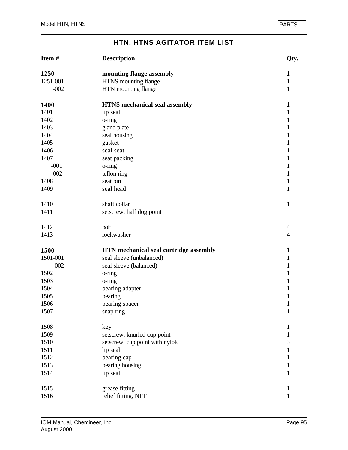| Item #   | <b>Description</b>                     | Qty.           |
|----------|----------------------------------------|----------------|
| 1250     | mounting flange assembly               | 1              |
| 1251-001 | HTNS mounting flange                   | $\mathbf{1}$   |
| $-002$   | HTN mounting flange                    | 1              |
| 1400     | <b>HTNS</b> mechanical seal assembly   | $\mathbf{1}$   |
| 1401     | lip seal                               | $\mathbf{1}$   |
| 1402     | o-ring                                 | $\mathbf{1}$   |
| 1403     | gland plate                            | $\mathbf{1}$   |
| 1404     | seal housing                           | 1              |
| 1405     | gasket                                 | $\mathbf{1}$   |
| 1406     | seal seat                              | $\mathbf{1}$   |
| 1407     | seat packing                           | 1              |
| $-001$   | o-ring                                 | 1              |
| $-002$   | teflon ring                            | $\mathbf{1}$   |
| 1408     | seat pin                               | $\mathbf{1}$   |
| 1409     | seal head                              | $\mathbf{1}$   |
| 1410     | shaft collar                           | $\mathbf{1}$   |
| 1411     | setscrew, half dog point               |                |
| 1412     | bolt                                   | 4              |
| 1413     | lockwasher                             | $\overline{4}$ |
| 1500     | HTN mechanical seal cartridge assembly | $\mathbf{1}$   |
| 1501-001 | seal sleeve (unbalanced)               | 1              |
| $-002$   | seal sleeve (balanced)                 | $\mathbf{1}$   |
| 1502     | o-ring                                 | $\mathbf{1}$   |
| 1503     | o-ring                                 | 1              |
| 1504     | bearing adapter                        | 1              |
| 1505     | bearing                                | $\mathbf{1}$   |
| 1506     | bearing spacer                         | $\mathbf{1}$   |
| 1507     | snap ring                              | $\mathbf{1}$   |
| 1508     | key                                    | 1              |
| 1509     | setscrew, knurled cup point            | 1              |
| 1510     | setscrew, cup point with nylok         | 3              |
| 1511     | lip seal                               | $\mathbf{1}$   |
| 1512     | bearing cap                            | 1              |
| 1513     | bearing housing                        | 1              |
| 1514     | lip seal                               | 1              |
| 1515     | grease fitting                         | 1              |
| 1516     | relief fitting, NPT                    | 1              |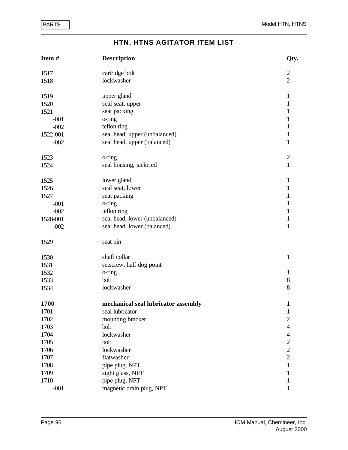| Item#    | <b>Description</b>                  | Qty.           |
|----------|-------------------------------------|----------------|
| 1517     | cartridge bolt                      | $\mathbf{2}$   |
| 1518     | lockwasher                          | $\overline{2}$ |
| 1519     | upper gland                         | $\mathbf{1}$   |
| 1520     | seal seat, upper                    | $\mathbf{1}$   |
| 1521     | seat packing                        | $\mathbf 1$    |
| $-001$   | o-ring                              | $\mathbf{1}$   |
| $-002$   | teflon ring                         | $\mathbf{1}$   |
| 1522-001 | seal head, upper (unbalanced)       | $\mathbf{1}$   |
| $-002$   | seal head, upper (balanced)         | $\mathbf{1}$   |
| 1523     | o-ring                              | $\mathbf{2}$   |
| 1524     | seal housing, jacketed              | $\mathbf{1}$   |
| 1525     | lower gland                         | $\mathbf{1}$   |
| 1526     | seal seat, lower                    | $\mathbf{1}$   |
| 1527     | seat packing                        | $\mathbf{1}$   |
| $-001$   | o-ring                              | $\mathbf{1}$   |
| $-002$   | teflon ring                         | $\mathbf{1}$   |
| 1528-001 | seal head, lower (unbalanced)       | $\mathbf{1}$   |
| $-002$   | seal head, lower (balanced)         | $\mathbf{1}$   |
| 1529     | seat pin                            |                |
| 1530     | shaft collar                        | $\mathbf{1}$   |
| 1531     | setscrew, half dog point            |                |
| 1532     | o-ring                              | $\mathbf{1}$   |
| 1533     | bolt                                | $8\,$          |
| 1534     | lockwasher                          | 8              |
| 1700     | mechanical seal lubricator assembly | $\mathbf{1}$   |
| 1701     | seal lubricator                     | $\mathbf{1}$   |
| 1702     | mounting bracket                    | $\overline{c}$ |
| 1703     | bolt                                | 4              |
| 1704     | lockwasher                          | 4              |
| 1705     | bolt                                | $\overline{c}$ |
| 1706     | lockwasher                          | $\overline{2}$ |
| 1707     | flatwasher                          | $\overline{2}$ |
| 1708     | pipe plug, NPT                      | $\mathbf{1}$   |
| 1709     | sight glass, NPT                    |                |
| 1710     | pipe plug, NPT                      | T              |
| $-001$   | magnetic drain plug, NPT            |                |